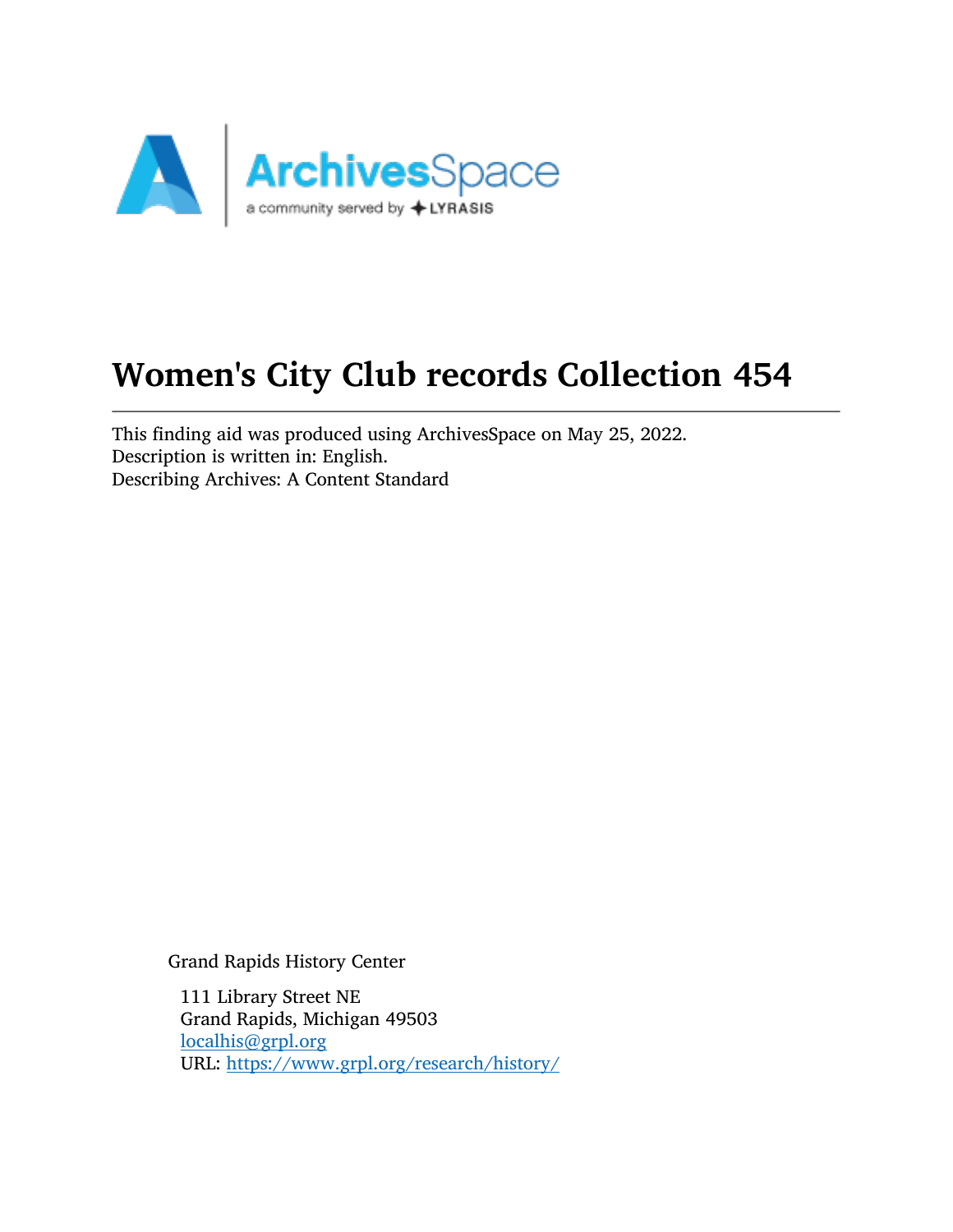

# Women's City Club records Collection 454

This finding aid was produced using ArchivesSpace on May 25, 2022. Description is written in: English. Describing Archives: A Content Standard

Grand Rapids History Center

111 Library Street NE Grand Rapids, Michigan 49503 [localhis@grpl.org](mailto:localhis@grpl.org) URL: <https://www.grpl.org/research/history/>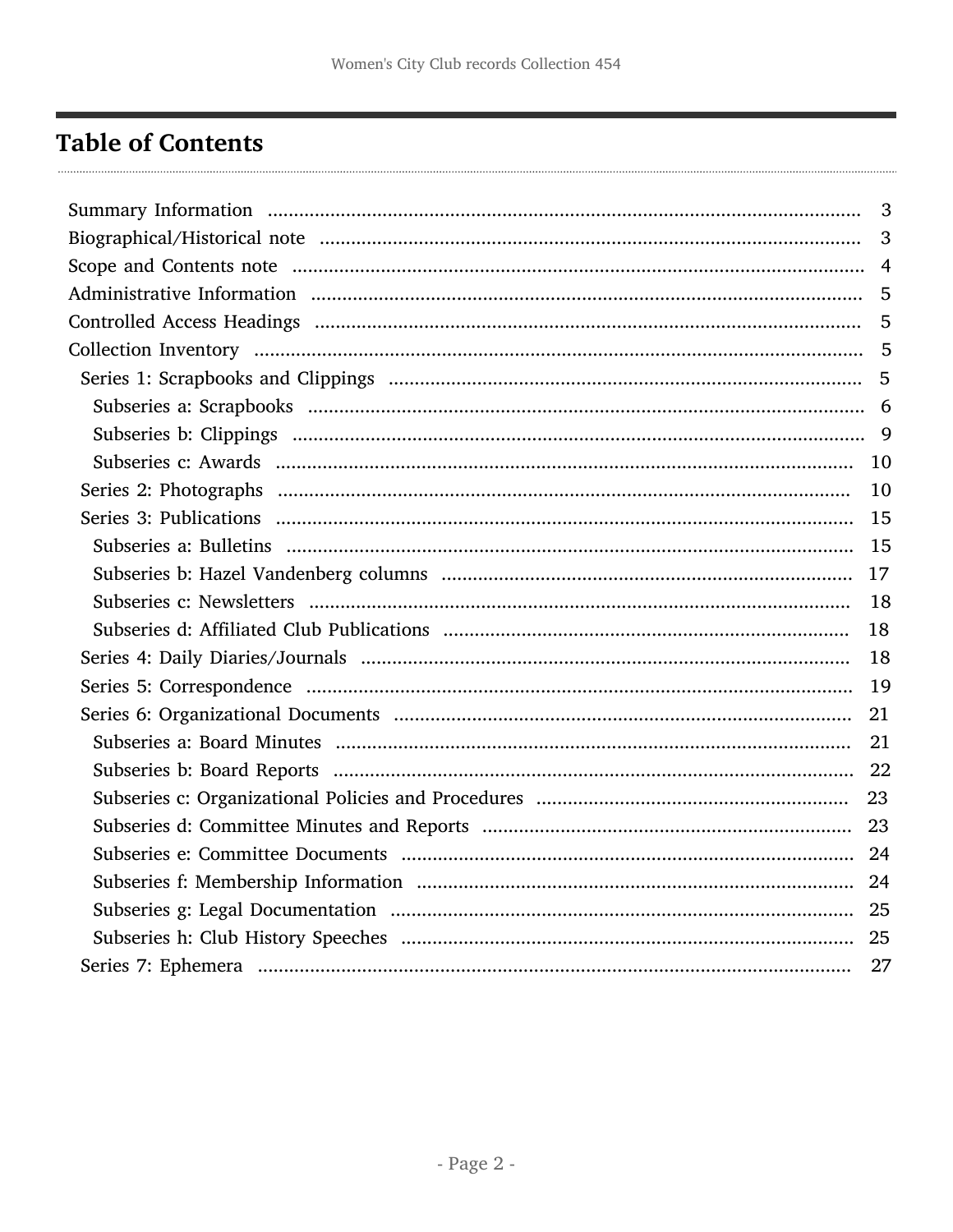## <span id="page-1-0"></span>**Table of Contents**

| 3  |
|----|
|    |
|    |
| 5  |
|    |
|    |
|    |
|    |
|    |
| 10 |
|    |
|    |
|    |
| 18 |
| 18 |
| 18 |
| 19 |
|    |
| 21 |
| 22 |
|    |
|    |
|    |
|    |
|    |
|    |
|    |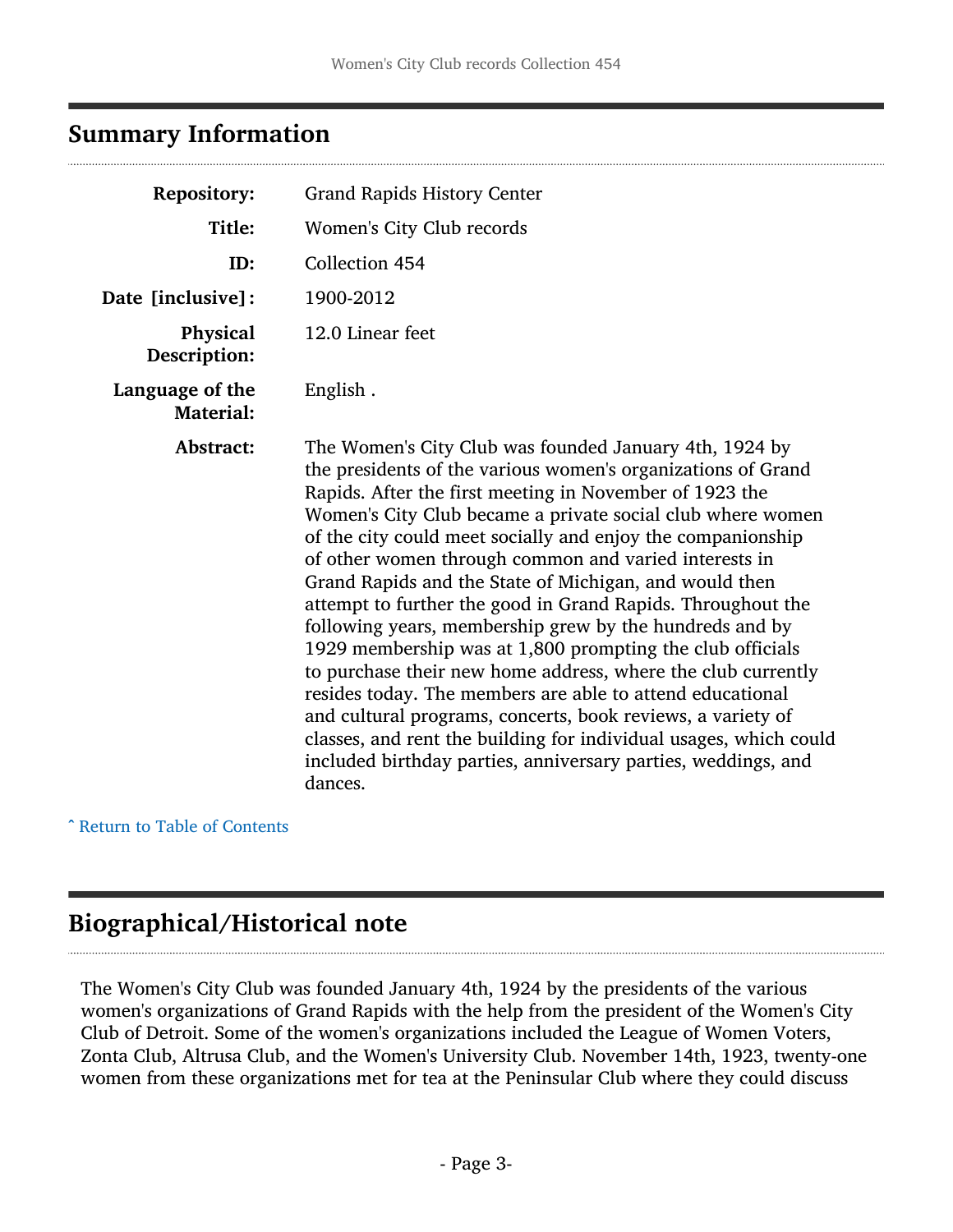### <span id="page-2-0"></span>Summary Information

| <b>Repository:</b>                  | <b>Grand Rapids History Center</b>                                                                                                                                                                                                                                                                                                                                                                                                                                                                                                                                                                                                                                                                                                                                                                                                                                                                                                                                    |
|-------------------------------------|-----------------------------------------------------------------------------------------------------------------------------------------------------------------------------------------------------------------------------------------------------------------------------------------------------------------------------------------------------------------------------------------------------------------------------------------------------------------------------------------------------------------------------------------------------------------------------------------------------------------------------------------------------------------------------------------------------------------------------------------------------------------------------------------------------------------------------------------------------------------------------------------------------------------------------------------------------------------------|
| Title:                              | Women's City Club records                                                                                                                                                                                                                                                                                                                                                                                                                                                                                                                                                                                                                                                                                                                                                                                                                                                                                                                                             |
| ID:                                 | Collection 454                                                                                                                                                                                                                                                                                                                                                                                                                                                                                                                                                                                                                                                                                                                                                                                                                                                                                                                                                        |
| Date [inclusive]:                   | 1900-2012                                                                                                                                                                                                                                                                                                                                                                                                                                                                                                                                                                                                                                                                                                                                                                                                                                                                                                                                                             |
| Physical<br>Description:            | 12.0 Linear feet                                                                                                                                                                                                                                                                                                                                                                                                                                                                                                                                                                                                                                                                                                                                                                                                                                                                                                                                                      |
| Language of the<br><b>Material:</b> | English.                                                                                                                                                                                                                                                                                                                                                                                                                                                                                                                                                                                                                                                                                                                                                                                                                                                                                                                                                              |
| Abstract:                           | The Women's City Club was founded January 4th, 1924 by<br>the presidents of the various women's organizations of Grand<br>Rapids. After the first meeting in November of 1923 the<br>Women's City Club became a private social club where women<br>of the city could meet socially and enjoy the companionship<br>of other women through common and varied interests in<br>Grand Rapids and the State of Michigan, and would then<br>attempt to further the good in Grand Rapids. Throughout the<br>following years, membership grew by the hundreds and by<br>1929 membership was at 1,800 prompting the club officials<br>to purchase their new home address, where the club currently<br>resides today. The members are able to attend educational<br>and cultural programs, concerts, book reviews, a variety of<br>classes, and rent the building for individual usages, which could<br>included birthday parties, anniversary parties, weddings, and<br>dances. |

^ [Return to Table of Contents](#page-1-0)

### <span id="page-2-1"></span>Biographical/Historical note

The Women's City Club was founded January 4th, 1924 by the presidents of the various women's organizations of Grand Rapids with the help from the president of the Women's City Club of Detroit. Some of the women's organizations included the League of Women Voters, Zonta Club, Altrusa Club, and the Women's University Club. November 14th, 1923, twenty-one women from these organizations met for tea at the Peninsular Club where they could discuss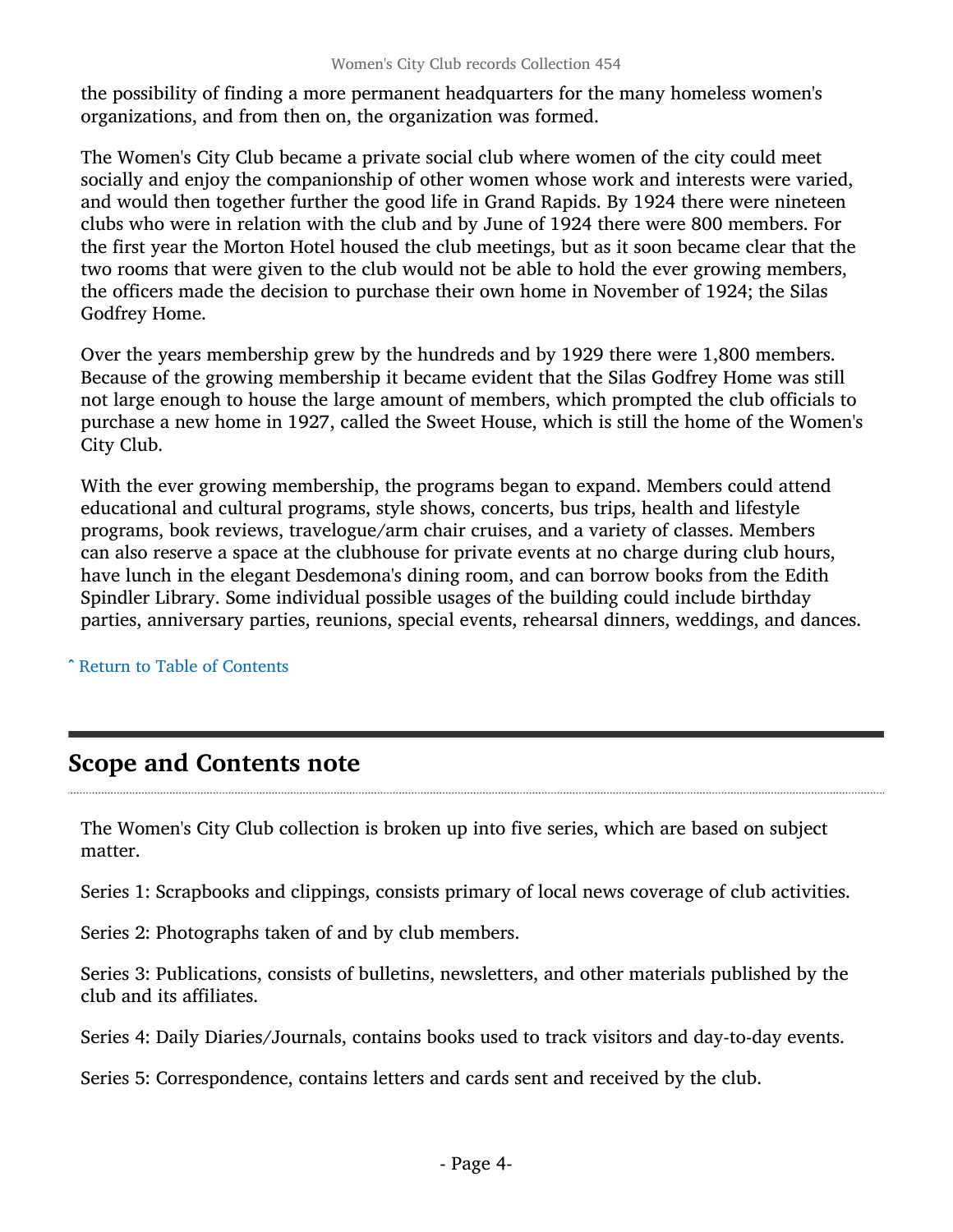the possibility of finding a more permanent headquarters for the many homeless women's organizations, and from then on, the organization was formed.

The Women's City Club became a private social club where women of the city could meet socially and enjoy the companionship of other women whose work and interests were varied, and would then together further the good life in Grand Rapids. By 1924 there were nineteen clubs who were in relation with the club and by June of 1924 there were 800 members. For the first year the Morton Hotel housed the club meetings, but as it soon became clear that the two rooms that were given to the club would not be able to hold the ever growing members, the officers made the decision to purchase their own home in November of 1924; the Silas Godfrey Home.

Over the years membership grew by the hundreds and by 1929 there were 1,800 members. Because of the growing membership it became evident that the Silas Godfrey Home was still not large enough to house the large amount of members, which prompted the club officials to purchase a new home in 1927, called the Sweet House, which is still the home of the Women's City Club.

With the ever growing membership, the programs began to expand. Members could attend educational and cultural programs, style shows, concerts, bus trips, health and lifestyle programs, book reviews, travelogue/arm chair cruises, and a variety of classes. Members can also reserve a space at the clubhouse for private events at no charge during club hours, have lunch in the elegant Desdemona's dining room, and can borrow books from the Edith Spindler Library. Some individual possible usages of the building could include birthday parties, anniversary parties, reunions, special events, rehearsal dinners, weddings, and dances.

^ [Return to Table of Contents](#page-1-0)

### <span id="page-3-0"></span>Scope and Contents note

The Women's City Club collection is broken up into five series, which are based on subject matter.

Series 1: Scrapbooks and clippings, consists primary of local news coverage of club activities.

Series 2: Photographs taken of and by club members.

Series 3: Publications, consists of bulletins, newsletters, and other materials published by the club and its affiliates.

Series 4: Daily Diaries/Journals, contains books used to track visitors and day-to-day events.

Series 5: Correspondence, contains letters and cards sent and received by the club.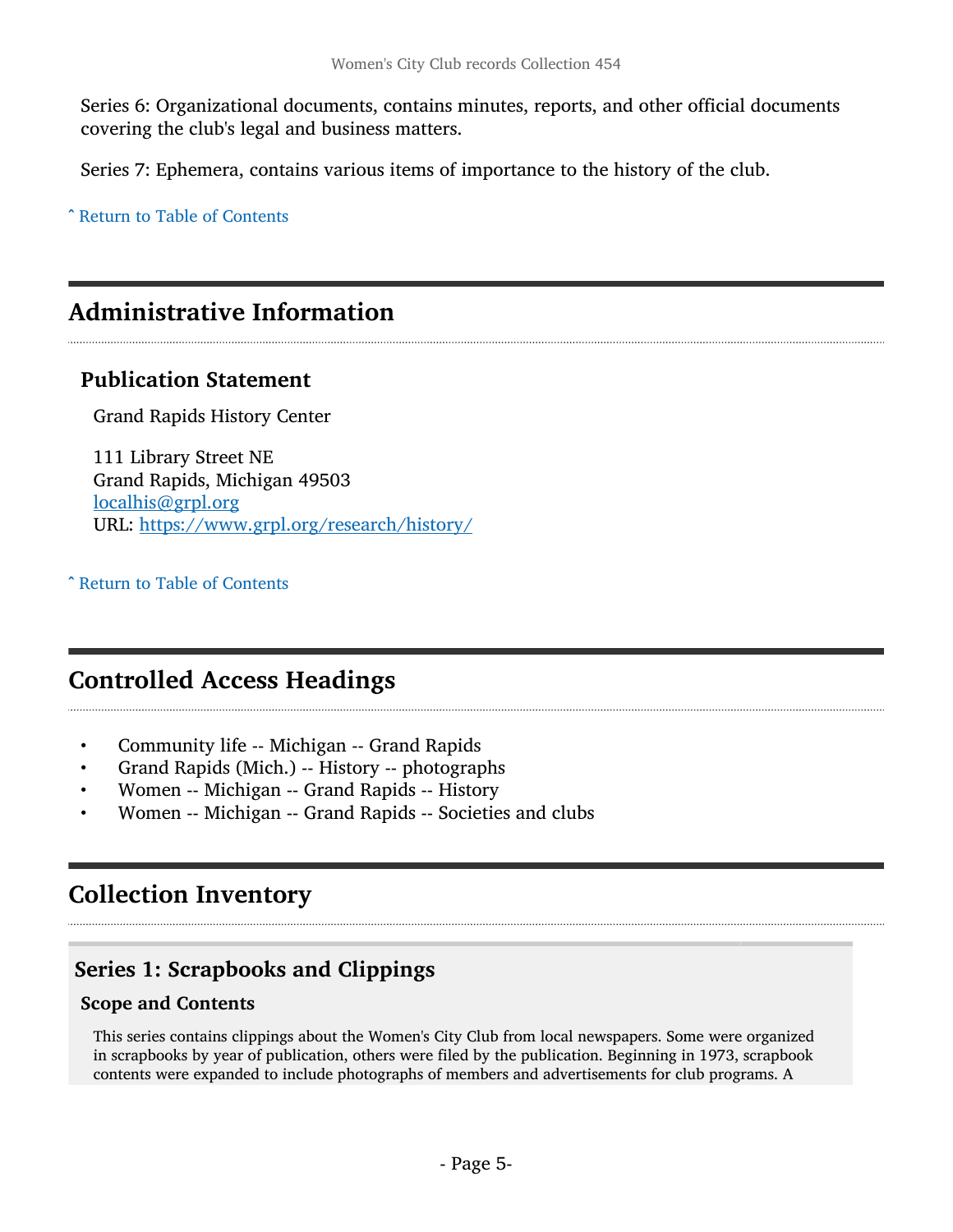Series 6: Organizational documents, contains minutes, reports, and other official documents covering the club's legal and business matters.

Series 7: Ephemera, contains various items of importance to the history of the club.

^ [Return to Table of Contents](#page-1-0)

### <span id="page-4-0"></span>Administrative Information

### Publication Statement

Grand Rapids History Center

111 Library Street NE Grand Rapids, Michigan 49503 [localhis@grpl.org](mailto:localhis@grpl.org) URL: <https://www.grpl.org/research/history/>

^ [Return to Table of Contents](#page-1-0)

### <span id="page-4-1"></span>Controlled Access Headings

- Community life -- Michigan -- Grand Rapids
- Grand Rapids (Mich.) -- History -- photographs
- Women -- Michigan -- Grand Rapids -- History
- Women -- Michigan -- Grand Rapids -- Societies and clubs

### <span id="page-4-2"></span>Collection Inventory

### <span id="page-4-3"></span>Series 1: Scrapbooks and Clippings

#### Scope and Contents

This series contains clippings about the Women's City Club from local newspapers. Some were organized in scrapbooks by year of publication, others were filed by the publication. Beginning in 1973, scrapbook contents were expanded to include photographs of members and advertisements for club programs. A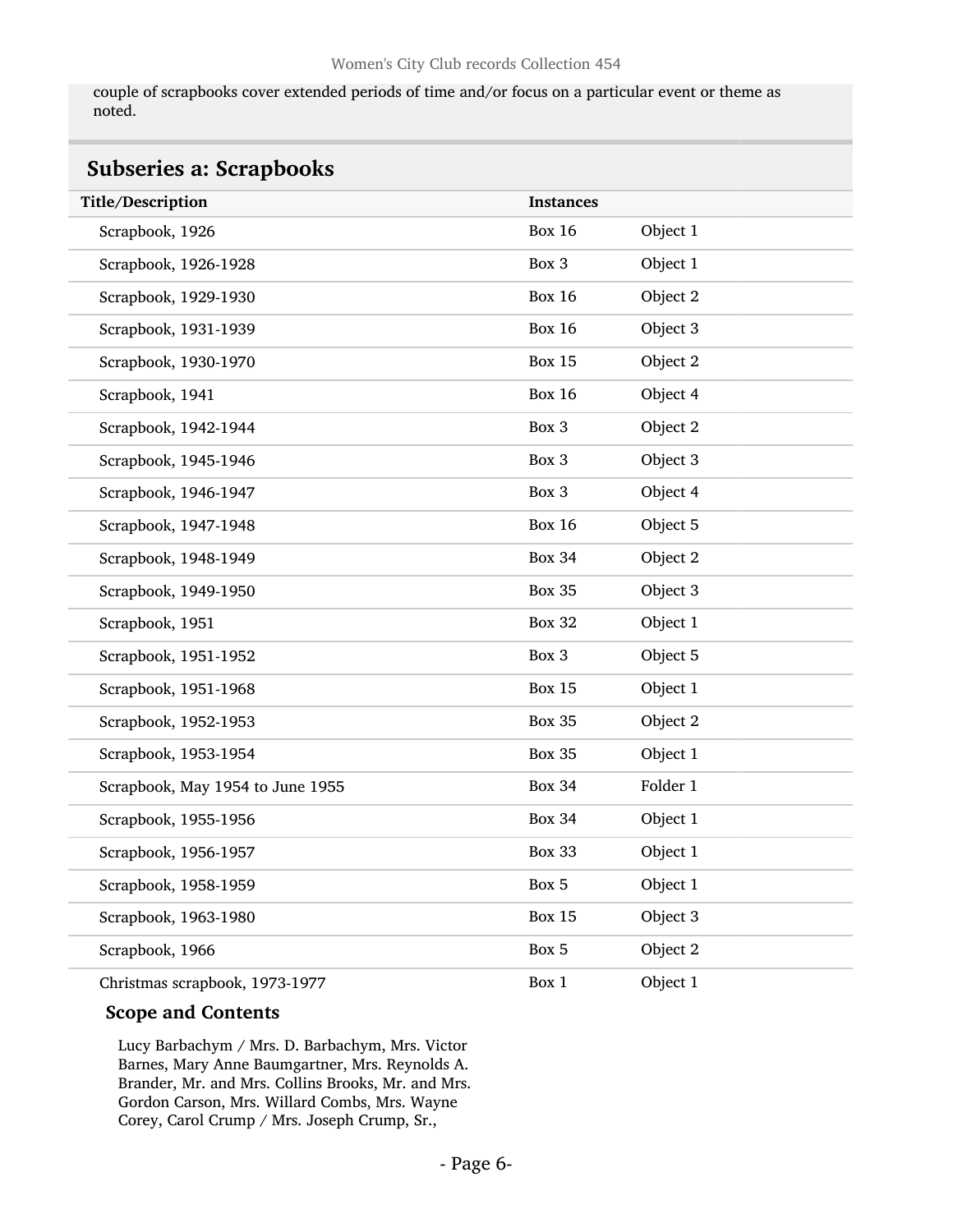couple of scrapbooks cover extended periods of time and/or focus on a particular event or theme as noted.

<span id="page-5-0"></span>

| <b>Subseries a: Scrapbooks</b>   |                  |          |  |
|----------------------------------|------------------|----------|--|
| Title/Description                | <b>Instances</b> |          |  |
| Scrapbook, 1926                  | <b>Box 16</b>    | Object 1 |  |
| Scrapbook, 1926-1928             | Box 3            | Object 1 |  |
| Scrapbook, 1929-1930             | <b>Box 16</b>    | Object 2 |  |
| Scrapbook, 1931-1939             | <b>Box 16</b>    | Object 3 |  |
| Scrapbook, 1930-1970             | <b>Box 15</b>    | Object 2 |  |
| Scrapbook, 1941                  | <b>Box 16</b>    | Object 4 |  |
| Scrapbook, 1942-1944             | Box 3            | Object 2 |  |
| Scrapbook, 1945-1946             | Box 3            | Object 3 |  |
| Scrapbook, 1946-1947             | Box 3            | Object 4 |  |
| Scrapbook, 1947-1948             | <b>Box 16</b>    | Object 5 |  |
| Scrapbook, 1948-1949             | <b>Box 34</b>    | Object 2 |  |
| Scrapbook, 1949-1950             | <b>Box 35</b>    | Object 3 |  |
| Scrapbook, 1951                  | <b>Box 32</b>    | Object 1 |  |
| Scrapbook, 1951-1952             | Box 3            | Object 5 |  |
| Scrapbook, 1951-1968             | <b>Box 15</b>    | Object 1 |  |
| Scrapbook, 1952-1953             | <b>Box 35</b>    | Object 2 |  |
| Scrapbook, 1953-1954             | <b>Box 35</b>    | Object 1 |  |
| Scrapbook, May 1954 to June 1955 | <b>Box 34</b>    | Folder 1 |  |
| Scrapbook, 1955-1956             | <b>Box 34</b>    | Object 1 |  |
| Scrapbook, 1956-1957             | <b>Box 33</b>    | Object 1 |  |
| Scrapbook, 1958-1959             | Box 5            | Object 1 |  |
| Scrapbook, 1963-1980             | <b>Box 15</b>    | Object 3 |  |
| Scrapbook, 1966                  | Box 5            | Object 2 |  |
| Christmas scrapbook, 1973-1977   | Box 1            | Object 1 |  |

#### Scope and Contents

Lucy Barbachym / Mrs. D. Barbachym, Mrs. Victor Barnes, Mary Anne Baumgartner, Mrs. Reynolds A. Brander, Mr. and Mrs. Collins Brooks, Mr. and Mrs. Gordon Carson, Mrs. Willard Combs, Mrs. Wayne Corey, Carol Crump / Mrs. Joseph Crump, Sr.,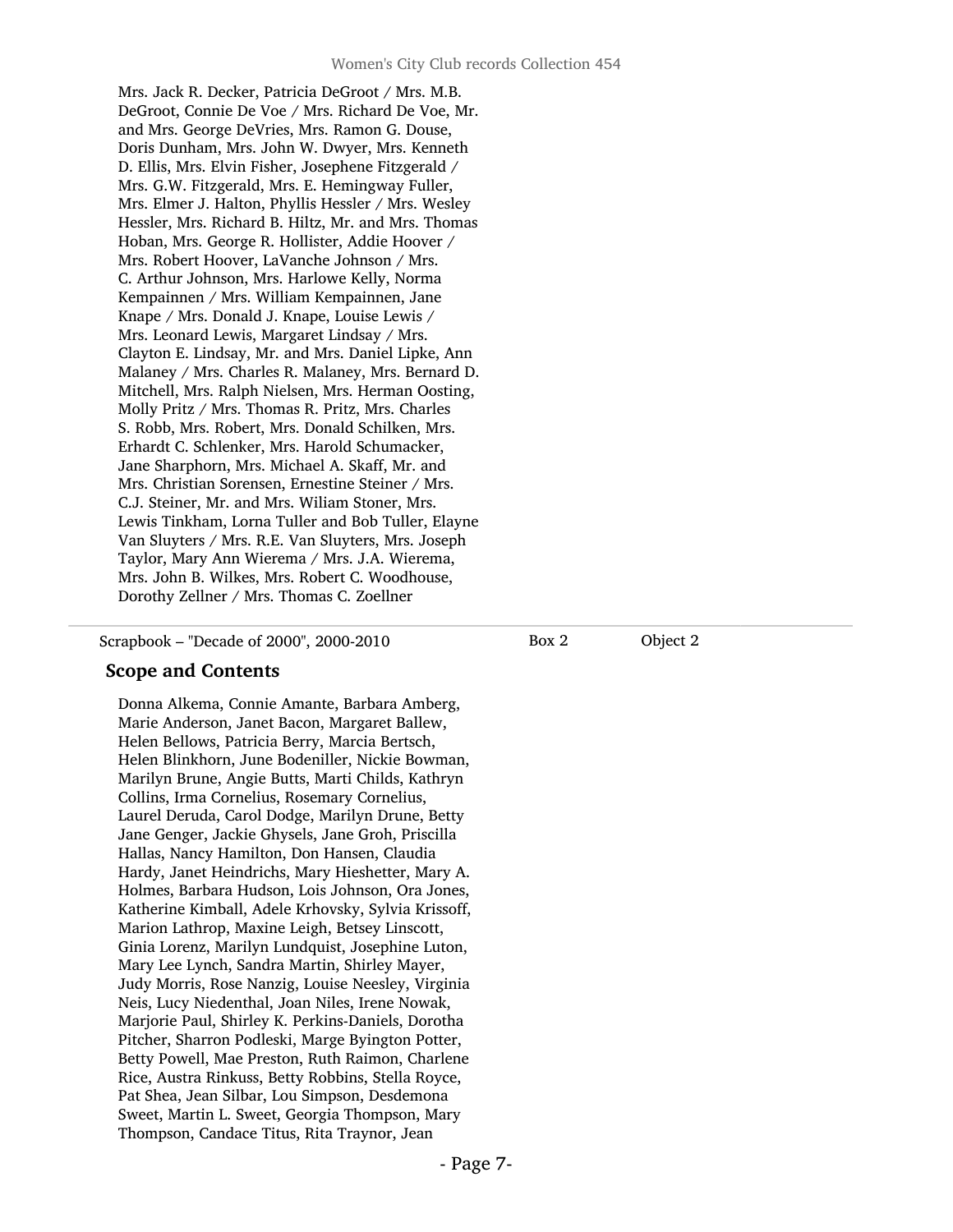Mrs. Jack R. Decker, Patricia DeGroot / Mrs. M.B. DeGroot, Connie De Voe / Mrs. Richard De Voe, Mr. and Mrs. George DeVries, Mrs. Ramon G. Douse, Doris Dunham, Mrs. John W. Dwyer, Mrs. Kenneth D. Ellis, Mrs. Elvin Fisher, Josephene Fitzgerald / Mrs. G.W. Fitzgerald, Mrs. E. Hemingway Fuller, Mrs. Elmer J. Halton, Phyllis Hessler / Mrs. Wesley Hessler, Mrs. Richard B. Hiltz, Mr. and Mrs. Thomas Hoban, Mrs. George R. Hollister, Addie Hoover / Mrs. Robert Hoover, LaVanche Johnson / Mrs. C. Arthur Johnson, Mrs. Harlowe Kelly, Norma Kempainnen / Mrs. William Kempainnen, Jane Knape / Mrs. Donald J. Knape, Louise Lewis / Mrs. Leonard Lewis, Margaret Lindsay / Mrs. Clayton E. Lindsay, Mr. and Mrs. Daniel Lipke, Ann Malaney / Mrs. Charles R. Malaney, Mrs. Bernard D. Mitchell, Mrs. Ralph Nielsen, Mrs. Herman Oosting, Molly Pritz / Mrs. Thomas R. Pritz, Mrs. Charles S. Robb, Mrs. Robert, Mrs. Donald Schilken, Mrs. Erhardt C. Schlenker, Mrs. Harold Schumacker, Jane Sharphorn, Mrs. Michael A. Skaff, Mr. and Mrs. Christian Sorensen, Ernestine Steiner / Mrs. C.J. Steiner, Mr. and Mrs. Wiliam Stoner, Mrs. Lewis Tinkham, Lorna Tuller and Bob Tuller, Elayne Van Sluyters / Mrs. R.E. Van Sluyters, Mrs. Joseph Taylor, Mary Ann Wierema / Mrs. J.A. Wierema, Mrs. John B. Wilkes, Mrs. Robert C. Woodhouse, Dorothy Zellner / Mrs. Thomas C. Zoellner

Scrapbook – "Decade of 2000", 2000-2010

#### Scope and Contents

Donna Alkema, Connie Amante, Barbara Amberg, Marie Anderson, Janet Bacon, Margaret Ballew, Helen Bellows, Patricia Berry, Marcia Bertsch, Helen Blinkhorn, June Bodeniller, Nickie Bowman, Marilyn Brune, Angie Butts, Marti Childs, Kathryn Collins, Irma Cornelius, Rosemary Cornelius, Laurel Deruda, Carol Dodge, Marilyn Drune, Betty Jane Genger, Jackie Ghysels, Jane Groh, Priscilla Hallas, Nancy Hamilton, Don Hansen, Claudia Hardy, Janet Heindrichs, Mary Hieshetter, Mary A. Holmes, Barbara Hudson, Lois Johnson, Ora Jones, Katherine Kimball, Adele Krhovsky, Sylvia Krissoff, Marion Lathrop, Maxine Leigh, Betsey Linscott, Ginia Lorenz, Marilyn Lundquist, Josephine Luton, Mary Lee Lynch, Sandra Martin, Shirley Mayer, Judy Morris, Rose Nanzig, Louise Neesley, Virginia Neis, Lucy Niedenthal, Joan Niles, Irene Nowak, Marjorie Paul, Shirley K. Perkins-Daniels, Dorotha Pitcher, Sharron Podleski, Marge Byington Potter, Betty Powell, Mae Preston, Ruth Raimon, Charlene Rice, Austra Rinkuss, Betty Robbins, Stella Royce, Pat Shea, Jean Silbar, Lou Simpson, Desdemona Sweet, Martin L. Sweet, Georgia Thompson, Mary Thompson, Candace Titus, Rita Traynor, Jean

Box 2 Object 2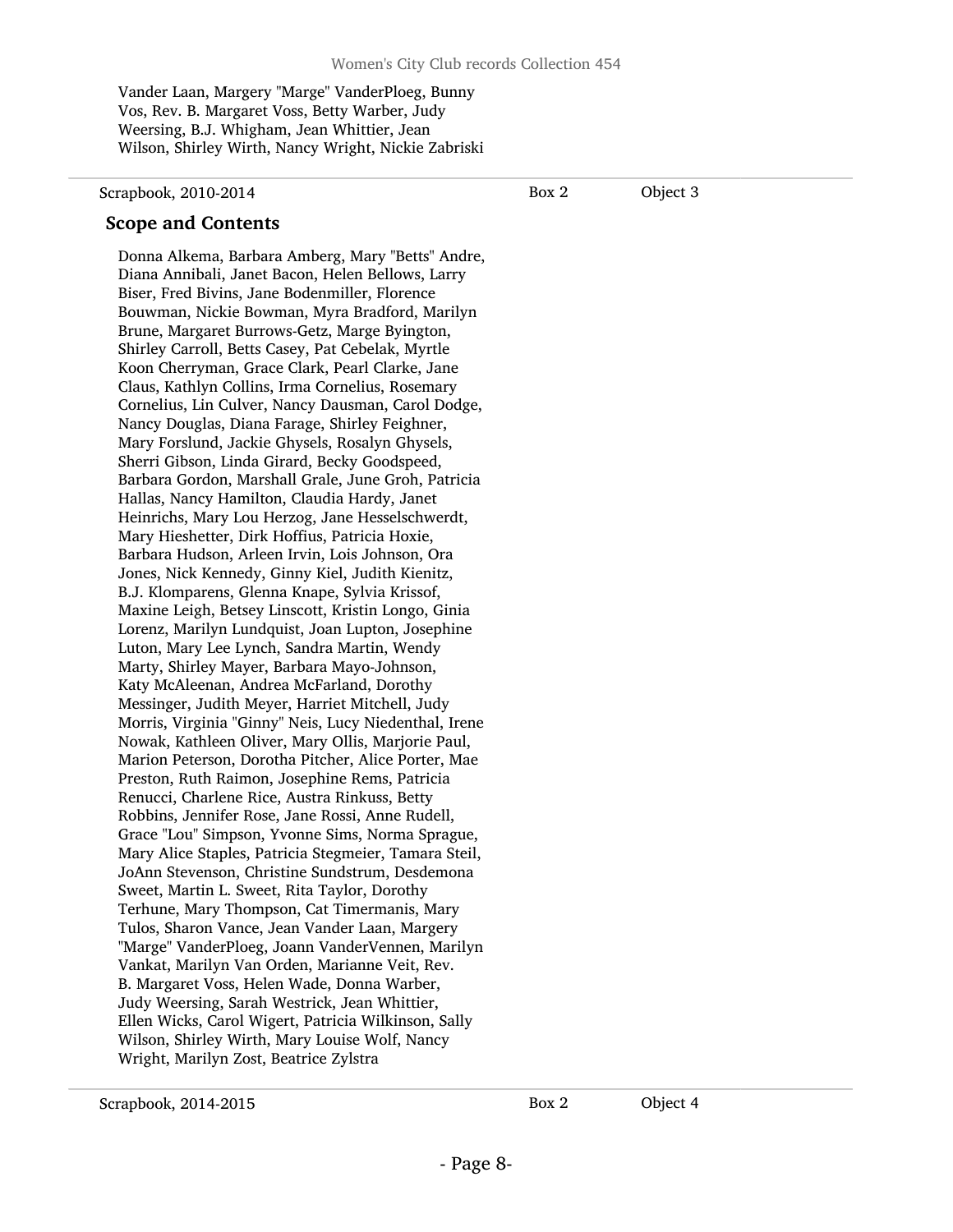Vander Laan, Margery "Marge" VanderPloeg, Bunny Vos, Rev. B. Margaret Voss, Betty Warber, Judy Weersing, B.J. Whigham, Jean Whittier, Jean Wilson, Shirley Wirth, Nancy Wright, Nickie Zabriski

#### Scrapbook, 2010-2014

Box 2 Object 3

#### Scope and Contents

Donna Alkema, Barbara Amberg, Mary "Betts" Andre, Diana Annibali, Janet Bacon, Helen Bellows, Larry Biser, Fred Bivins, Jane Bodenmiller, Florence Bouwman, Nickie Bowman, Myra Bradford, Marilyn Brune, Margaret Burrows-Getz, Marge Byington, Shirley Carroll, Betts Casey, Pat Cebelak, Myrtle Koon Cherryman, Grace Clark, Pearl Clarke, Jane Claus, Kathlyn Collins, Irma Cornelius, Rosemary Cornelius, Lin Culver, Nancy Dausman, Carol Dodge, Nancy Douglas, Diana Farage, Shirley Feighner, Mary Forslund, Jackie Ghysels, Rosalyn Ghysels, Sherri Gibson, Linda Girard, Becky Goodspeed, Barbara Gordon, Marshall Grale, June Groh, Patricia Hallas, Nancy Hamilton, Claudia Hardy, Janet Heinrichs, Mary Lou Herzog, Jane Hesselschwerdt, Mary Hieshetter, Dirk Hoffius, Patricia Hoxie, Barbara Hudson, Arleen Irvin, Lois Johnson, Ora Jones, Nick Kennedy, Ginny Kiel, Judith Kienitz, B.J. Klomparens, Glenna Knape, Sylvia Krissof, Maxine Leigh, Betsey Linscott, Kristin Longo, Ginia Lorenz, Marilyn Lundquist, Joan Lupton, Josephine Luton, Mary Lee Lynch, Sandra Martin, Wendy Marty, Shirley Mayer, Barbara Mayo-Johnson, Katy McAleenan, Andrea McFarland, Dorothy Messinger, Judith Meyer, Harriet Mitchell, Judy Morris, Virginia "Ginny" Neis, Lucy Niedenthal, Irene Nowak, Kathleen Oliver, Mary Ollis, Marjorie Paul, Marion Peterson, Dorotha Pitcher, Alice Porter, Mae Preston, Ruth Raimon, Josephine Rems, Patricia Renucci, Charlene Rice, Austra Rinkuss, Betty Robbins, Jennifer Rose, Jane Rossi, Anne Rudell, Grace "Lou" Simpson, Yvonne Sims, Norma Sprague, Mary Alice Staples, Patricia Stegmeier, Tamara Steil, JoAnn Stevenson, Christine Sundstrum, Desdemona Sweet, Martin L. Sweet, Rita Taylor, Dorothy Terhune, Mary Thompson, Cat Timermanis, Mary Tulos, Sharon Vance, Jean Vander Laan, Margery "Marge" VanderPloeg, Joann VanderVennen, Marilyn Vankat, Marilyn Van Orden, Marianne Veit, Rev. B. Margaret Voss, Helen Wade, Donna Warber, Judy Weersing, Sarah Westrick, Jean Whittier, Ellen Wicks, Carol Wigert, Patricia Wilkinson, Sally Wilson, Shirley Wirth, Mary Louise Wolf, Nancy Wright, Marilyn Zost, Beatrice Zylstra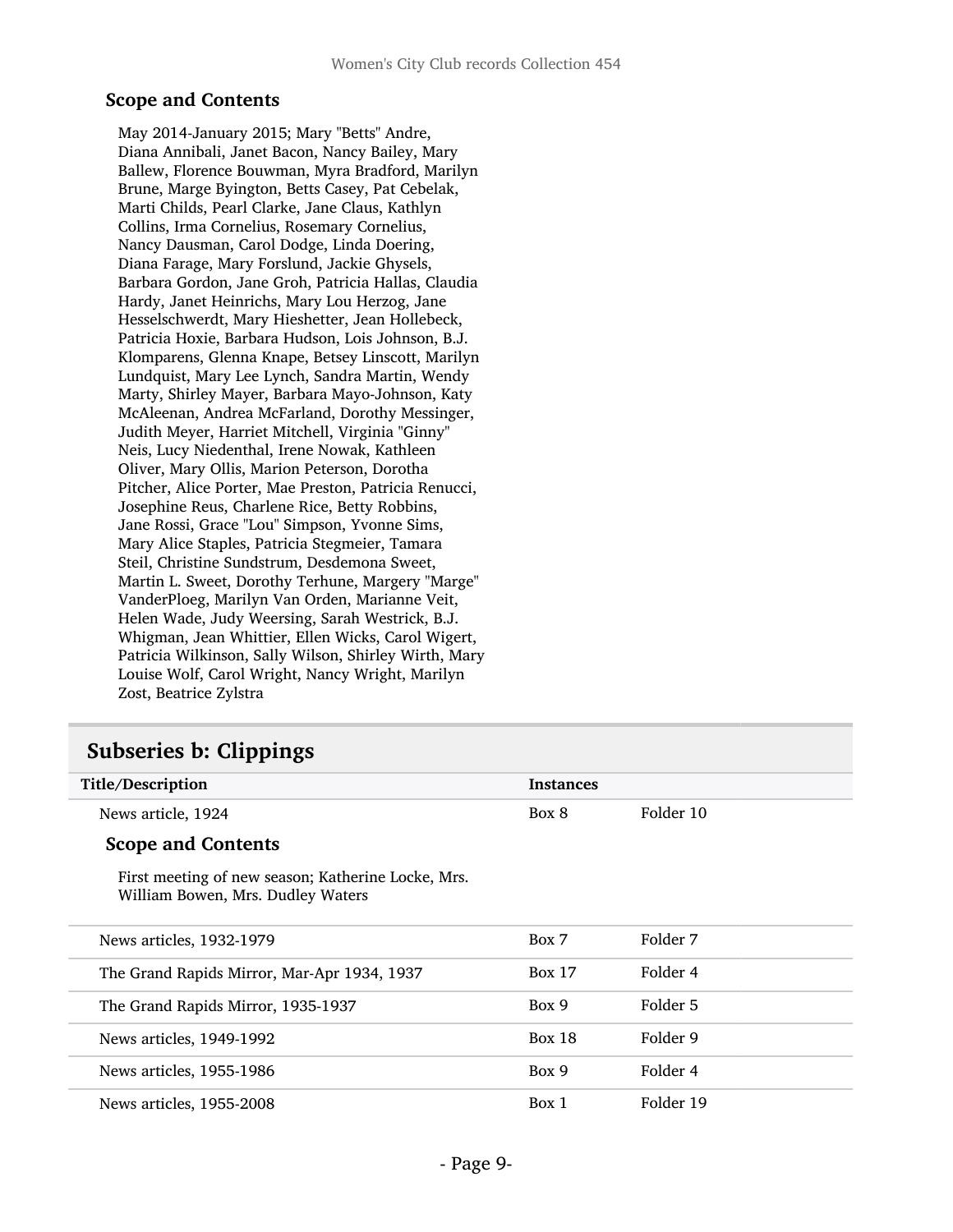#### Scope and Contents

May 2014-January 2015; Mary "Betts" Andre, Diana Annibali, Janet Bacon, Nancy Bailey, Mary Ballew, Florence Bouwman, Myra Bradford, Marilyn Brune, Marge Byington, Betts Casey, Pat Cebelak, Marti Childs, Pearl Clarke, Jane Claus, Kathlyn Collins, Irma Cornelius, Rosemary Cornelius, Nancy Dausman, Carol Dodge, Linda Doering, Diana Farage, Mary Forslund, Jackie Ghysels, Barbara Gordon, Jane Groh, Patricia Hallas, Claudia Hardy, Janet Heinrichs, Mary Lou Herzog, Jane Hesselschwerdt, Mary Hieshetter, Jean Hollebeck, Patricia Hoxie, Barbara Hudson, Lois Johnson, B.J. Klomparens, Glenna Knape, Betsey Linscott, Marilyn Lundquist, Mary Lee Lynch, Sandra Martin, Wendy Marty, Shirley Mayer, Barbara Mayo-Johnson, Katy McAleenan, Andrea McFarland, Dorothy Messinger, Judith Meyer, Harriet Mitchell, Virginia "Ginny" Neis, Lucy Niedenthal, Irene Nowak, Kathleen Oliver, Mary Ollis, Marion Peterson, Dorotha Pitcher, Alice Porter, Mae Preston, Patricia Renucci, Josephine Reus, Charlene Rice, Betty Robbins, Jane Rossi, Grace "Lou" Simpson, Yvonne Sims, Mary Alice Staples, Patricia Stegmeier, Tamara Steil, Christine Sundstrum, Desdemona Sweet, Martin L. Sweet, Dorothy Terhune, Margery "Marge" VanderPloeg, Marilyn Van Orden, Marianne Veit, Helen Wade, Judy Weersing, Sarah Westrick, B.J. Whigman, Jean Whittier, Ellen Wicks, Carol Wigert, Patricia Wilkinson, Sally Wilson, Shirley Wirth, Mary Louise Wolf, Carol Wright, Nancy Wright, Marilyn Zost, Beatrice Zylstra

### <span id="page-8-0"></span>Subseries b: Clippings

| Title/Description                                                                       | <b>Instances</b> |           |  |
|-----------------------------------------------------------------------------------------|------------------|-----------|--|
| News article, 1924                                                                      | Box 8            | Folder 10 |  |
| <b>Scope and Contents</b>                                                               |                  |           |  |
| First meeting of new season; Katherine Locke, Mrs.<br>William Bowen, Mrs. Dudley Waters |                  |           |  |
| News articles, 1932-1979                                                                | Box 7            | Folder 7  |  |
| The Grand Rapids Mirror, Mar-Apr 1934, 1937                                             | <b>Box 17</b>    | Folder 4  |  |
| The Grand Rapids Mirror, 1935-1937                                                      | Box 9            | Folder 5  |  |
| News articles, 1949-1992                                                                | <b>Box 18</b>    | Folder 9  |  |
| News articles, 1955-1986                                                                | Box 9            | Folder 4  |  |
| News articles, 1955-2008                                                                | Box 1            | Folder 19 |  |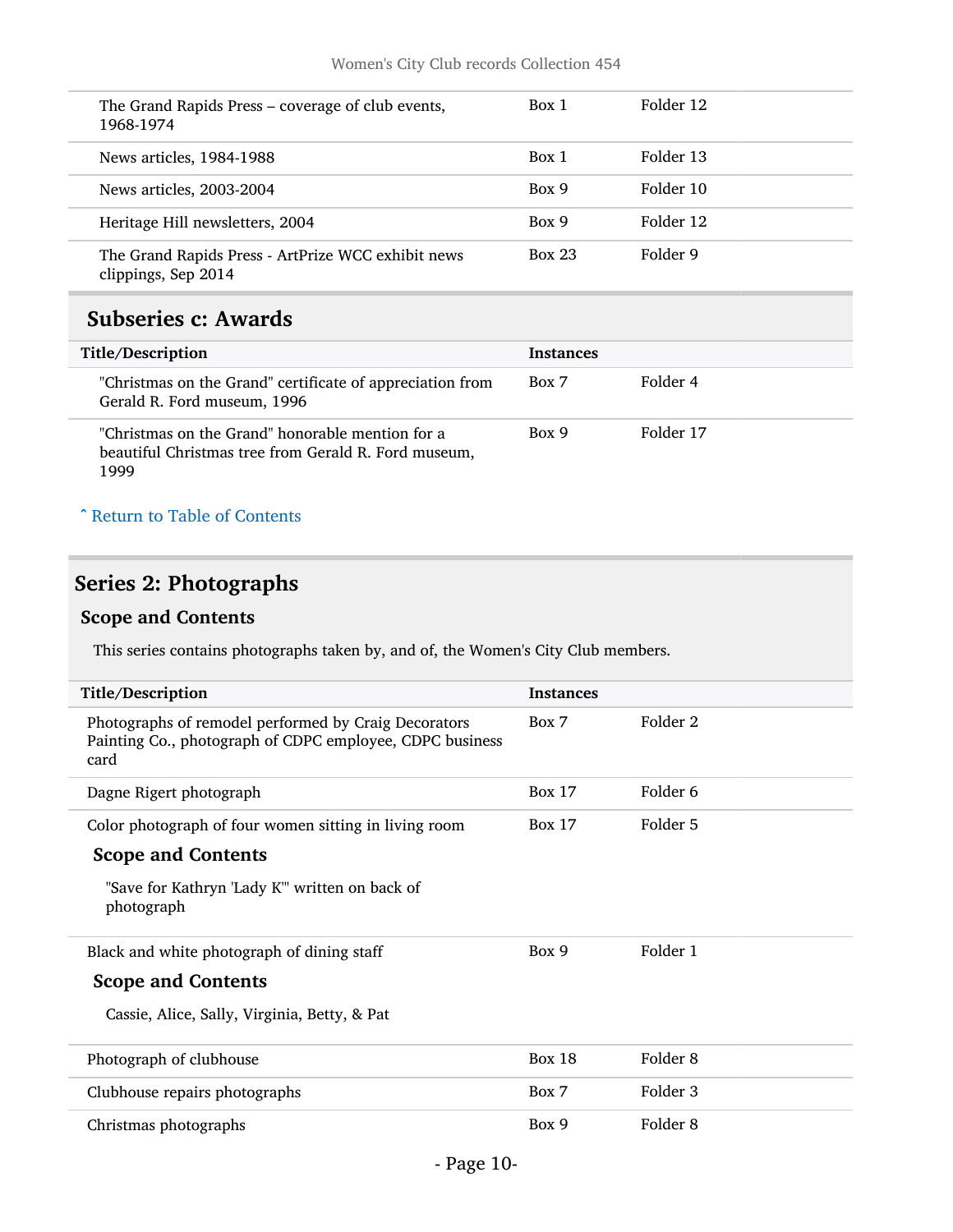| The Grand Rapids Press – coverage of club events,<br>1968-1974            | Box 1         | Folder 12 |
|---------------------------------------------------------------------------|---------------|-----------|
| News articles, 1984-1988                                                  | Box 1         | Folder 13 |
| News articles, 2003-2004                                                  | Box 9         | Folder 10 |
| Heritage Hill newsletters, 2004                                           | Box 9         | Folder 12 |
| The Grand Rapids Press - ArtPrize WCC exhibit news<br>clippings, Sep 2014 | <b>Box 23</b> | Folder 9  |

### <span id="page-9-0"></span>Subseries c: Awards

| Title/Description                                                                                                | <b>Instances</b> |           |
|------------------------------------------------------------------------------------------------------------------|------------------|-----------|
| "Christmas on the Grand" certificate of appreciation from<br>Gerald R. Ford museum, 1996                         | Box 7            | Folder 4  |
| "Christmas on the Grand" honorable mention for a<br>beautiful Christmas tree from Gerald R. Ford museum,<br>1999 | Box 9            | Folder 17 |

#### ^ [Return to Table of Contents](#page-1-0)

### <span id="page-9-1"></span>Series 2: Photographs

#### Scope and Contents

This series contains photographs taken by, and of, the Women's City Club members.

| <b>Instances</b><br>Folder 2<br>Box 7<br>Photographs of remodel performed by Craig Decorators<br>Painting Co., photograph of CDPC employee, CDPC business<br>card<br>Folder 6<br><b>Box 17</b><br>Dagne Rigert photograph<br>Folder 5<br><b>Box 17</b><br>Color photograph of four women sitting in living room<br><b>Scope and Contents</b><br>"Save for Kathryn 'Lady K"' written on back of<br>photograph<br>Folder 1<br>Box 9<br>Black and white photograph of dining staff<br><b>Scope and Contents</b><br>Cassie, Alice, Sally, Virginia, Betty, & Pat<br>Folder 8<br><b>Box 18</b><br>Photograph of clubhouse<br>Folder 3<br>Box 7<br>Clubhouse repairs photographs<br>Folder 8<br>Box 9<br>Christmas photographs |                   |  |
|--------------------------------------------------------------------------------------------------------------------------------------------------------------------------------------------------------------------------------------------------------------------------------------------------------------------------------------------------------------------------------------------------------------------------------------------------------------------------------------------------------------------------------------------------------------------------------------------------------------------------------------------------------------------------------------------------------------------------|-------------------|--|
|                                                                                                                                                                                                                                                                                                                                                                                                                                                                                                                                                                                                                                                                                                                          | Title/Description |  |
|                                                                                                                                                                                                                                                                                                                                                                                                                                                                                                                                                                                                                                                                                                                          |                   |  |
|                                                                                                                                                                                                                                                                                                                                                                                                                                                                                                                                                                                                                                                                                                                          |                   |  |
|                                                                                                                                                                                                                                                                                                                                                                                                                                                                                                                                                                                                                                                                                                                          |                   |  |
|                                                                                                                                                                                                                                                                                                                                                                                                                                                                                                                                                                                                                                                                                                                          |                   |  |
|                                                                                                                                                                                                                                                                                                                                                                                                                                                                                                                                                                                                                                                                                                                          |                   |  |
|                                                                                                                                                                                                                                                                                                                                                                                                                                                                                                                                                                                                                                                                                                                          |                   |  |
|                                                                                                                                                                                                                                                                                                                                                                                                                                                                                                                                                                                                                                                                                                                          |                   |  |
|                                                                                                                                                                                                                                                                                                                                                                                                                                                                                                                                                                                                                                                                                                                          |                   |  |
|                                                                                                                                                                                                                                                                                                                                                                                                                                                                                                                                                                                                                                                                                                                          |                   |  |
|                                                                                                                                                                                                                                                                                                                                                                                                                                                                                                                                                                                                                                                                                                                          |                   |  |
|                                                                                                                                                                                                                                                                                                                                                                                                                                                                                                                                                                                                                                                                                                                          |                   |  |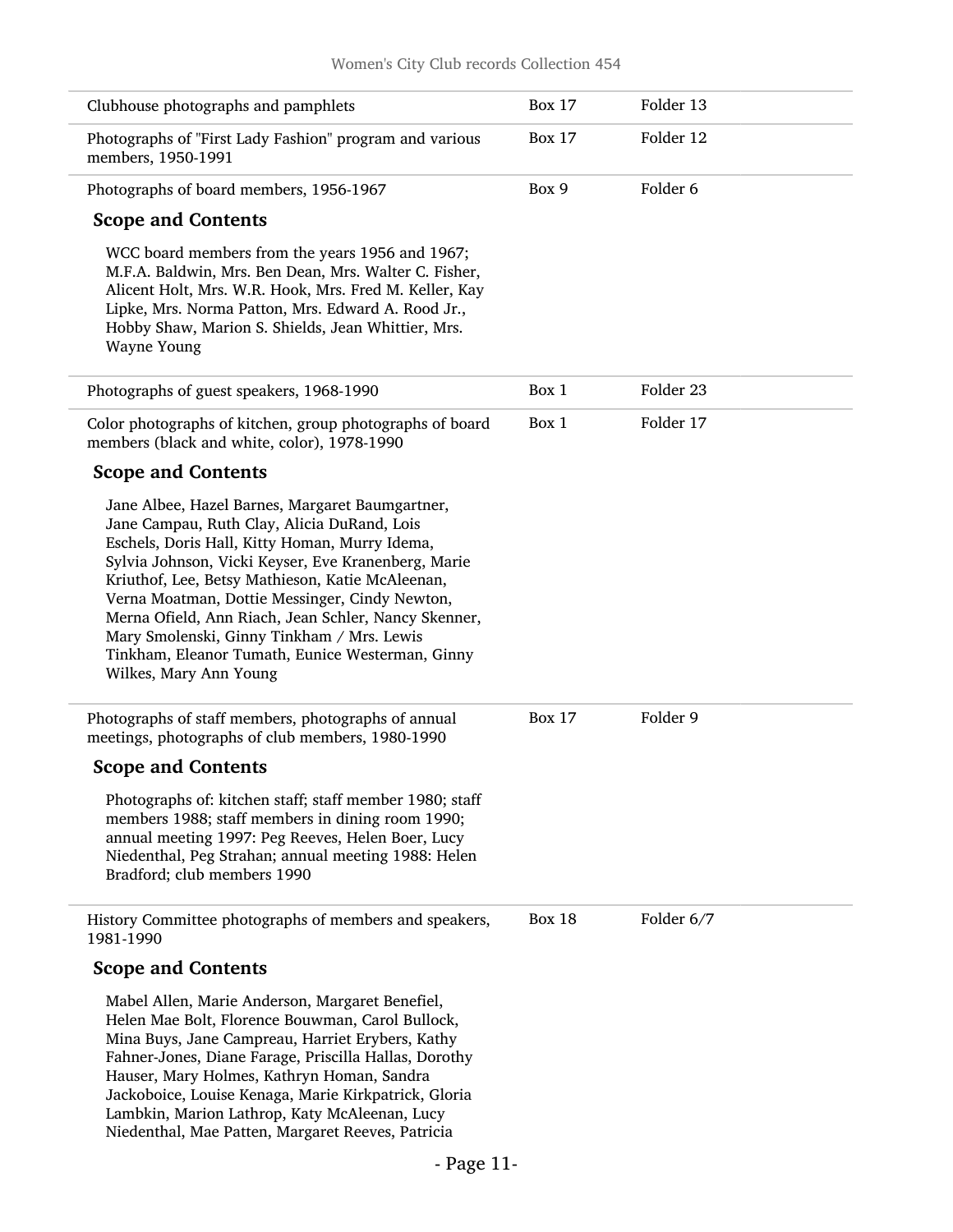| Clubhouse photographs and pamphlets                                                                                                                                                                                                                                                                                                                                                                                                                                                               | <b>Box 17</b> | Folder 13  |  |
|---------------------------------------------------------------------------------------------------------------------------------------------------------------------------------------------------------------------------------------------------------------------------------------------------------------------------------------------------------------------------------------------------------------------------------------------------------------------------------------------------|---------------|------------|--|
| Photographs of "First Lady Fashion" program and various<br>members, 1950-1991                                                                                                                                                                                                                                                                                                                                                                                                                     | <b>Box 17</b> | Folder 12  |  |
| Photographs of board members, 1956-1967                                                                                                                                                                                                                                                                                                                                                                                                                                                           | Box 9         | Folder 6   |  |
| <b>Scope and Contents</b>                                                                                                                                                                                                                                                                                                                                                                                                                                                                         |               |            |  |
| WCC board members from the years 1956 and 1967;<br>M.F.A. Baldwin, Mrs. Ben Dean, Mrs. Walter C. Fisher,<br>Alicent Holt, Mrs. W.R. Hook, Mrs. Fred M. Keller, Kay<br>Lipke, Mrs. Norma Patton, Mrs. Edward A. Rood Jr.,<br>Hobby Shaw, Marion S. Shields, Jean Whittier, Mrs.<br>Wayne Young                                                                                                                                                                                                     |               |            |  |
| Photographs of guest speakers, 1968-1990                                                                                                                                                                                                                                                                                                                                                                                                                                                          | Box 1         | Folder 23  |  |
| Color photographs of kitchen, group photographs of board<br>members (black and white, color), 1978-1990                                                                                                                                                                                                                                                                                                                                                                                           | Box 1         | Folder 17  |  |
| <b>Scope and Contents</b>                                                                                                                                                                                                                                                                                                                                                                                                                                                                         |               |            |  |
| Jane Albee, Hazel Barnes, Margaret Baumgartner,<br>Jane Campau, Ruth Clay, Alicia DuRand, Lois<br>Eschels, Doris Hall, Kitty Homan, Murry Idema,<br>Sylvia Johnson, Vicki Keyser, Eve Kranenberg, Marie<br>Kriuthof, Lee, Betsy Mathieson, Katie McAleenan,<br>Verna Moatman, Dottie Messinger, Cindy Newton,<br>Merna Ofield, Ann Riach, Jean Schler, Nancy Skenner,<br>Mary Smolenski, Ginny Tinkham / Mrs. Lewis<br>Tinkham, Eleanor Tumath, Eunice Westerman, Ginny<br>Wilkes, Mary Ann Young |               |            |  |
| Photographs of staff members, photographs of annual<br>meetings, photographs of club members, 1980-1990                                                                                                                                                                                                                                                                                                                                                                                           | <b>Box 17</b> | Folder 9   |  |
| <b>Scope and Contents</b>                                                                                                                                                                                                                                                                                                                                                                                                                                                                         |               |            |  |
| Photographs of: kitchen staff; staff member 1980; staff<br>members 1988; staff members in dining room 1990;<br>annual meeting 1997: Peg Reeves, Helen Boer, Lucy<br>Niedenthal, Peg Strahan; annual meeting 1988: Helen<br>Bradford; club members 1990                                                                                                                                                                                                                                            |               |            |  |
| History Committee photographs of members and speakers,<br>1981-1990                                                                                                                                                                                                                                                                                                                                                                                                                               | <b>Box 18</b> | Folder 6/7 |  |
| <b>Scope and Contents</b>                                                                                                                                                                                                                                                                                                                                                                                                                                                                         |               |            |  |
| Mabel Allen, Marie Anderson, Margaret Benefiel,<br>Helen Mae Bolt, Florence Bouwman, Carol Bullock,<br>Mina Buys, Jane Campreau, Harriet Erybers, Kathy<br>Fahner-Jones, Diane Farage, Priscilla Hallas, Dorothy<br>Hauser, Mary Holmes, Kathryn Homan, Sandra<br>Jackoboice, Louise Kenaga, Marie Kirkpatrick, Gloria<br>Lambkin, Marion Lathrop, Katy McAleenan, Lucy<br>Niedenthal, Mae Patten, Margaret Reeves, Patricia                                                                      |               |            |  |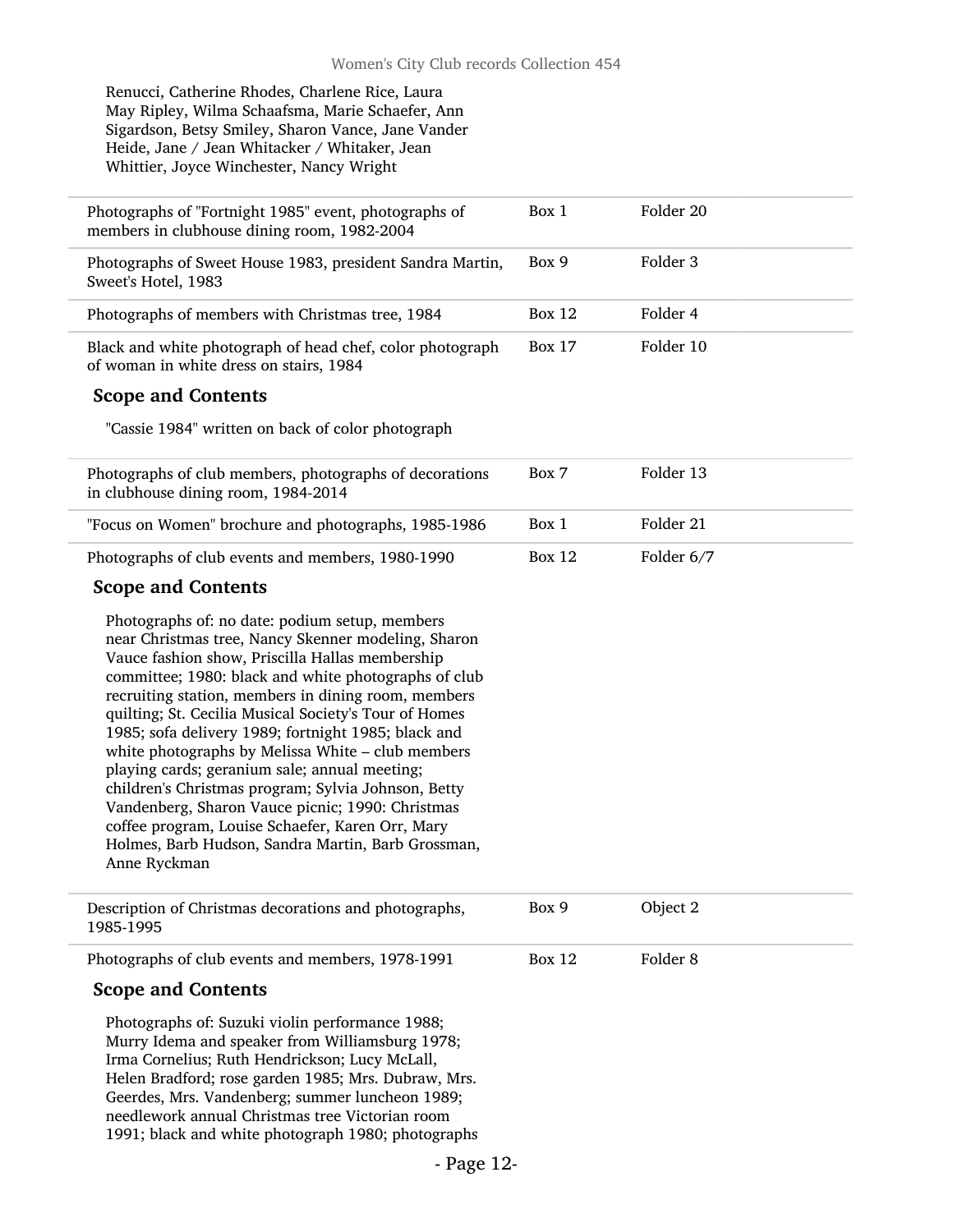Renucci, Catherine Rhodes, Charlene Rice, Laura May Ripley, Wilma Schaafsma, Marie Schaefer, Ann Sigardson, Betsy Smiley, Sharon Vance, Jane Vander Heide, Jane / Jean Whitacker / Whitaker, Jean Whittier, Joyce Winchester, Nancy Wright

| Photographs of "Fortnight 1985" event, photographs of<br>members in clubhouse dining room, 1982-2004                                                                                                                                                                                                                                                                                                                                                                                                                                                                                                                                                                                                                               | Box 1         | Folder 20           |
|------------------------------------------------------------------------------------------------------------------------------------------------------------------------------------------------------------------------------------------------------------------------------------------------------------------------------------------------------------------------------------------------------------------------------------------------------------------------------------------------------------------------------------------------------------------------------------------------------------------------------------------------------------------------------------------------------------------------------------|---------------|---------------------|
| Photographs of Sweet House 1983, president Sandra Martin,<br>Sweet's Hotel, 1983                                                                                                                                                                                                                                                                                                                                                                                                                                                                                                                                                                                                                                                   | Box 9         | Folder <sub>3</sub> |
| Photographs of members with Christmas tree, 1984                                                                                                                                                                                                                                                                                                                                                                                                                                                                                                                                                                                                                                                                                   | <b>Box 12</b> | Folder 4            |
| Black and white photograph of head chef, color photograph<br>of woman in white dress on stairs, 1984                                                                                                                                                                                                                                                                                                                                                                                                                                                                                                                                                                                                                               | <b>Box 17</b> | Folder 10           |
| <b>Scope and Contents</b>                                                                                                                                                                                                                                                                                                                                                                                                                                                                                                                                                                                                                                                                                                          |               |                     |
| "Cassie 1984" written on back of color photograph                                                                                                                                                                                                                                                                                                                                                                                                                                                                                                                                                                                                                                                                                  |               |                     |
| Photographs of club members, photographs of decorations<br>in clubhouse dining room, 1984-2014                                                                                                                                                                                                                                                                                                                                                                                                                                                                                                                                                                                                                                     | Box 7         | Folder 13           |
| "Focus on Women" brochure and photographs, 1985-1986                                                                                                                                                                                                                                                                                                                                                                                                                                                                                                                                                                                                                                                                               | Box 1         | Folder 21           |
| Photographs of club events and members, 1980-1990                                                                                                                                                                                                                                                                                                                                                                                                                                                                                                                                                                                                                                                                                  | Box $12$      | Folder 6/7          |
| <b>Scope and Contents</b>                                                                                                                                                                                                                                                                                                                                                                                                                                                                                                                                                                                                                                                                                                          |               |                     |
| Photographs of: no date: podium setup, members<br>near Christmas tree, Nancy Skenner modeling, Sharon<br>Vauce fashion show, Priscilla Hallas membership<br>committee; 1980: black and white photographs of club<br>recruiting station, members in dining room, members<br>quilting; St. Cecilia Musical Society's Tour of Homes<br>1985; sofa delivery 1989; fortnight 1985; black and<br>white photographs by Melissa White - club members<br>playing cards; geranium sale; annual meeting;<br>children's Christmas program; Sylvia Johnson, Betty<br>Vandenberg, Sharon Vauce picnic; 1990: Christmas<br>coffee program, Louise Schaefer, Karen Orr, Mary<br>Holmes, Barb Hudson, Sandra Martin, Barb Grossman,<br>Anne Ryckman |               |                     |
| Description of Christmas decorations and photographs,<br>1985-1995                                                                                                                                                                                                                                                                                                                                                                                                                                                                                                                                                                                                                                                                 | Box 9         | Object 2            |
|                                                                                                                                                                                                                                                                                                                                                                                                                                                                                                                                                                                                                                                                                                                                    |               |                     |

Photographs of club events and members, 1978-1991

#### Scope and Contents

Photographs of: Suzuki violin performance 1988; Murry Idema and speaker from Williamsburg 1978; Irma Cornelius; Ruth Hendrickson; Lucy McLall, Helen Bradford; rose garden 1985; Mrs. Dubraw, Mrs. Geerdes, Mrs. Vandenberg; summer luncheon 1989; needlework annual Christmas tree Victorian room 1991; black and white photograph 1980; photographs Box 12 Folder 8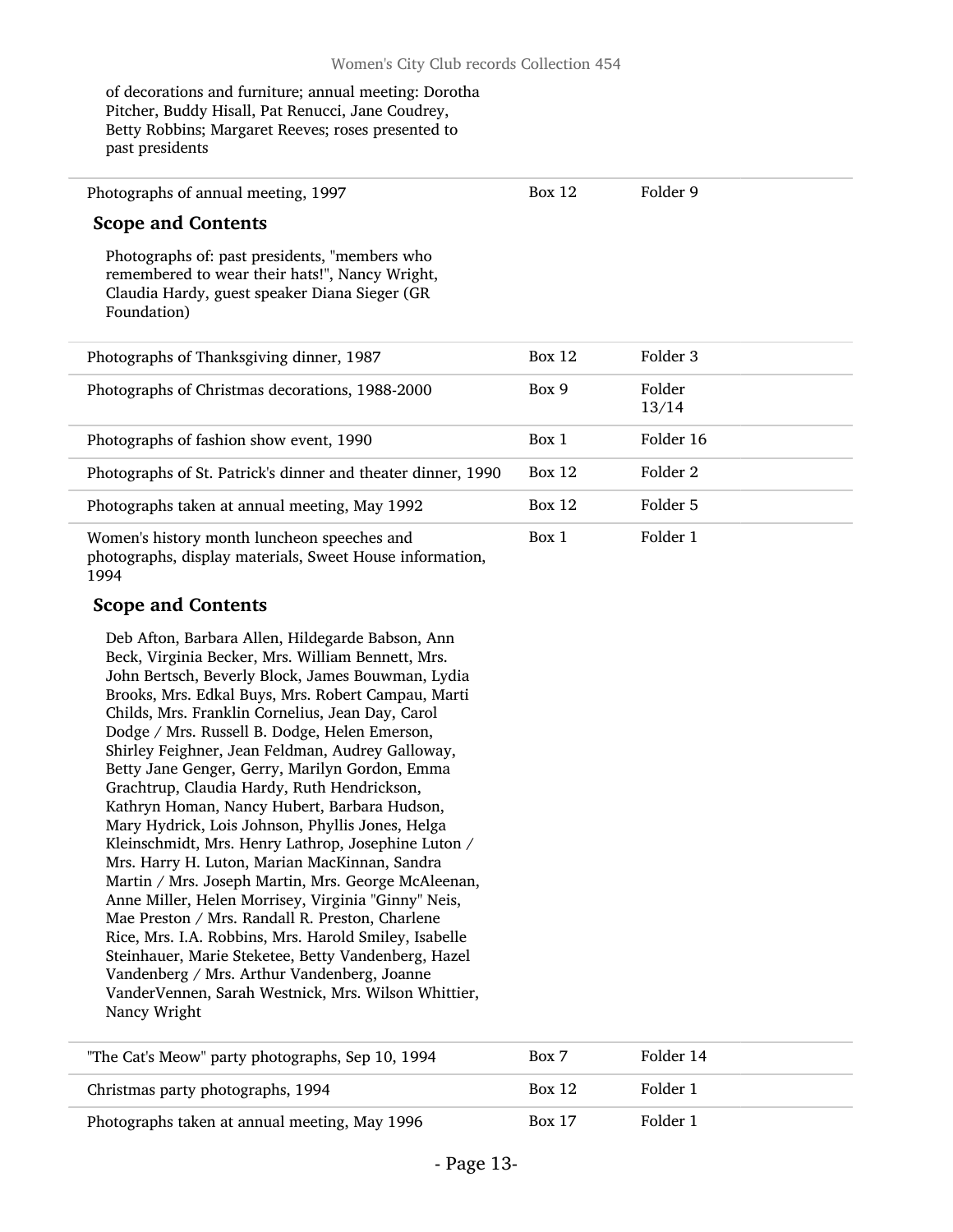of decorations and furniture; annual meeting: Dorotha Pitcher, Buddy Hisall, Pat Renucci, Jane Coudrey, Betty Robbins; Margaret Reeves; roses presented to past presidents

Photographs of annual meeting, 1997

Box 12 Folder 9

#### Scope and Contents

Photographs of: past presidents, "members who remembered to wear their hats!", Nancy Wright, Claudia Hardy, guest speaker Diana Sieger (GR Foundation)

| Photographs of Thanksgiving dinner, 1987                                                                | Box 12 | Folder 3        |
|---------------------------------------------------------------------------------------------------------|--------|-----------------|
| Photographs of Christmas decorations, 1988-2000                                                         | Box 9  | Folder<br>13/14 |
| Photographs of fashion show event, 1990                                                                 | Box 1  | Folder 16       |
| Photographs of St. Patrick's dinner and theater dinner, 1990                                            | Box 12 | Folder 2        |
| Photographs taken at annual meeting, May 1992                                                           | Box 12 | Folder 5        |
| Women's history month luncheon speeches and<br>photographs, display materials. Sweet House information, | Box 1  | Folder 1        |

photographs, display materials, Sweet House information, 1994

#### Scope and Contents

Deb Afton, Barbara Allen, Hildegarde Babson, Ann Beck, Virginia Becker, Mrs. William Bennett, Mrs. John Bertsch, Beverly Block, James Bouwman, Lydia Brooks, Mrs. Edkal Buys, Mrs. Robert Campau, Marti Childs, Mrs. Franklin Cornelius, Jean Day, Carol Dodge / Mrs. Russell B. Dodge, Helen Emerson, Shirley Feighner, Jean Feldman, Audrey Galloway, Betty Jane Genger, Gerry, Marilyn Gordon, Emma Grachtrup, Claudia Hardy, Ruth Hendrickson, Kathryn Homan, Nancy Hubert, Barbara Hudson, Mary Hydrick, Lois Johnson, Phyllis Jones, Helga Kleinschmidt, Mrs. Henry Lathrop, Josephine Luton / Mrs. Harry H. Luton, Marian MacKinnan, Sandra Martin / Mrs. Joseph Martin, Mrs. George McAleenan, Anne Miller, Helen Morrisey, Virginia "Ginny" Neis, Mae Preston / Mrs. Randall R. Preston, Charlene Rice, Mrs. I.A. Robbins, Mrs. Harold Smiley, Isabelle Steinhauer, Marie Steketee, Betty Vandenberg, Hazel Vandenberg / Mrs. Arthur Vandenberg, Joanne VanderVennen, Sarah Westnick, Mrs. Wilson Whittier, Nancy Wright

| "The Cat's Meow" party photographs, Sep 10, 1994 | Box 7         | Folder 14 |
|--------------------------------------------------|---------------|-----------|
| Christmas party photographs, 1994                | Box 12        | Folder 1  |
| Photographs taken at annual meeting, May 1996    | <b>Box 17</b> | Folder 1  |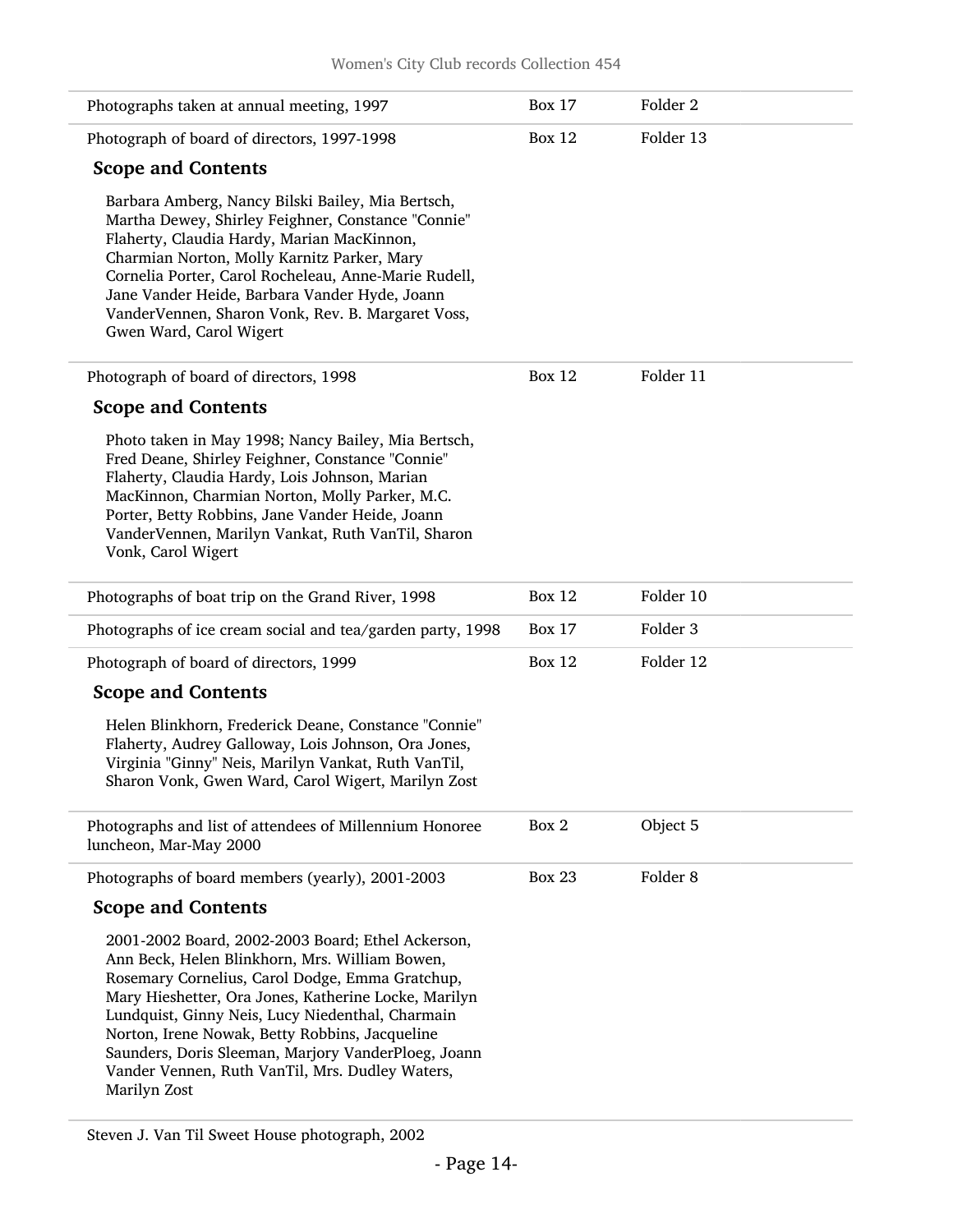| Photographs taken at annual meeting, 1997                                                                                                                                                                                                                                                                                                                                                                                                      | <b>Box 17</b> | Folder <sub>2</sub> |
|------------------------------------------------------------------------------------------------------------------------------------------------------------------------------------------------------------------------------------------------------------------------------------------------------------------------------------------------------------------------------------------------------------------------------------------------|---------------|---------------------|
| Photograph of board of directors, 1997-1998                                                                                                                                                                                                                                                                                                                                                                                                    | <b>Box 12</b> | Folder 13           |
| <b>Scope and Contents</b>                                                                                                                                                                                                                                                                                                                                                                                                                      |               |                     |
| Barbara Amberg, Nancy Bilski Bailey, Mia Bertsch,<br>Martha Dewey, Shirley Feighner, Constance "Connie"<br>Flaherty, Claudia Hardy, Marian MacKinnon,<br>Charmian Norton, Molly Karnitz Parker, Mary<br>Cornelia Porter, Carol Rocheleau, Anne-Marie Rudell,<br>Jane Vander Heide, Barbara Vander Hyde, Joann<br>VanderVennen, Sharon Vonk, Rev. B. Margaret Voss,<br>Gwen Ward, Carol Wigert                                                  |               |                     |
| Photograph of board of directors, 1998                                                                                                                                                                                                                                                                                                                                                                                                         | <b>Box 12</b> | Folder 11           |
| <b>Scope and Contents</b>                                                                                                                                                                                                                                                                                                                                                                                                                      |               |                     |
| Photo taken in May 1998; Nancy Bailey, Mia Bertsch,<br>Fred Deane, Shirley Feighner, Constance "Connie"<br>Flaherty, Claudia Hardy, Lois Johnson, Marian<br>MacKinnon, Charmian Norton, Molly Parker, M.C.<br>Porter, Betty Robbins, Jane Vander Heide, Joann<br>VanderVennen, Marilyn Vankat, Ruth VanTil, Sharon<br>Vonk, Carol Wigert                                                                                                       |               |                     |
| Photographs of boat trip on the Grand River, 1998                                                                                                                                                                                                                                                                                                                                                                                              | <b>Box 12</b> | Folder 10           |
| Photographs of ice cream social and tea/garden party, 1998                                                                                                                                                                                                                                                                                                                                                                                     | <b>Box 17</b> | Folder 3            |
| Photograph of board of directors, 1999                                                                                                                                                                                                                                                                                                                                                                                                         | <b>Box 12</b> | Folder 12           |
| <b>Scope and Contents</b>                                                                                                                                                                                                                                                                                                                                                                                                                      |               |                     |
| Helen Blinkhorn, Frederick Deane, Constance "Connie"<br>Flaherty, Audrey Galloway, Lois Johnson, Ora Jones,<br>Virginia "Ginny" Neis, Marilyn Vankat, Ruth VanTil,<br>Sharon Vonk, Gwen Ward, Carol Wigert, Marilyn Zost                                                                                                                                                                                                                       |               |                     |
| Photographs and list of attendees of Millennium Honoree<br>luncheon, Mar-May 2000                                                                                                                                                                                                                                                                                                                                                              | Box 2         | Object 5            |
| Photographs of board members (yearly), 2001-2003                                                                                                                                                                                                                                                                                                                                                                                               | <b>Box 23</b> | Folder <sub>8</sub> |
| <b>Scope and Contents</b>                                                                                                                                                                                                                                                                                                                                                                                                                      |               |                     |
| 2001-2002 Board, 2002-2003 Board; Ethel Ackerson,<br>Ann Beck, Helen Blinkhorn, Mrs. William Bowen,<br>Rosemary Cornelius, Carol Dodge, Emma Gratchup,<br>Mary Hieshetter, Ora Jones, Katherine Locke, Marilyn<br>Lundquist, Ginny Neis, Lucy Niedenthal, Charmain<br>Norton, Irene Nowak, Betty Robbins, Jacqueline<br>Saunders, Doris Sleeman, Marjory VanderPloeg, Joann<br>Vander Vennen, Ruth VanTil, Mrs. Dudley Waters,<br>Marilyn Zost |               |                     |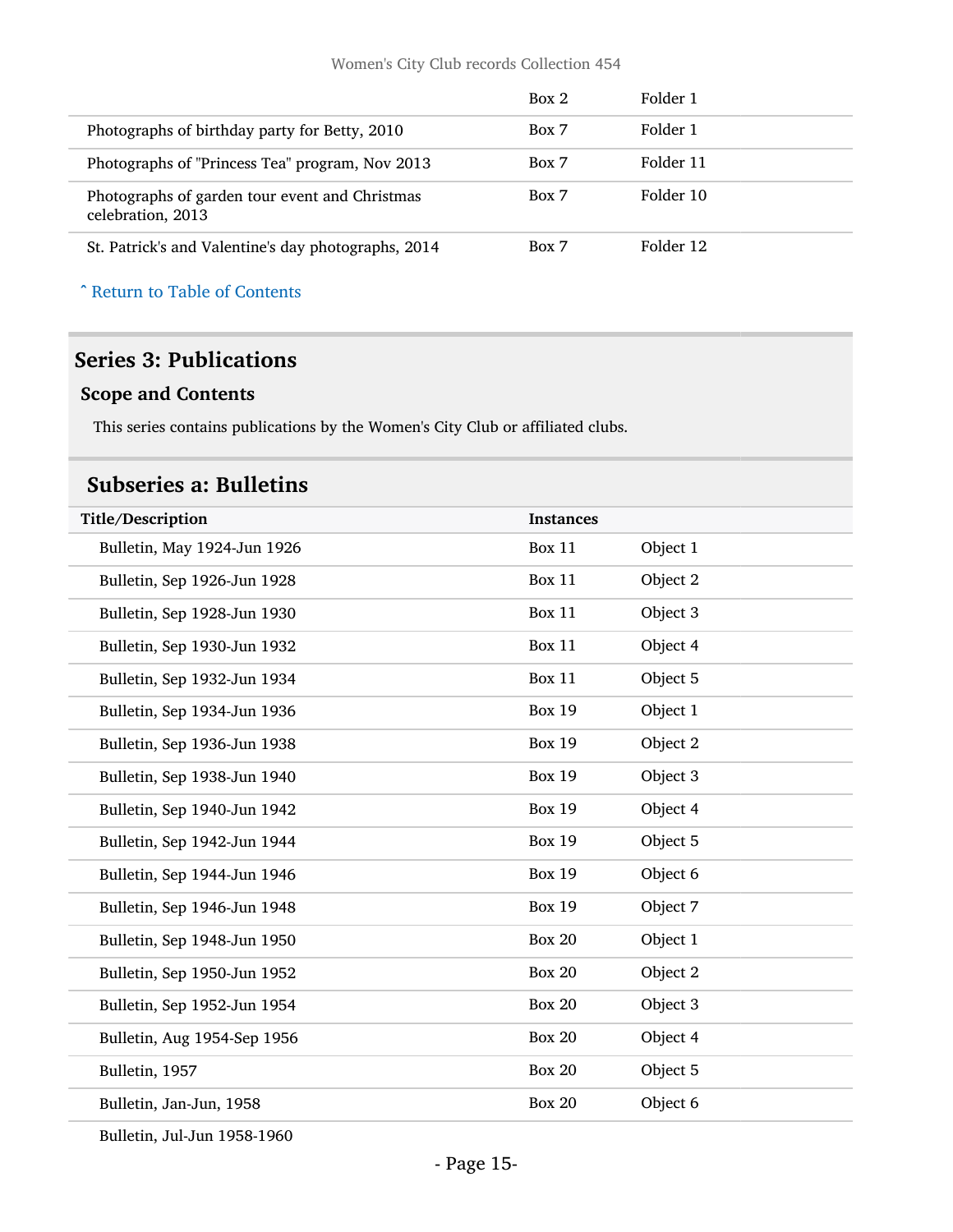|                                                                     | Box 2 | Folder 1  |  |
|---------------------------------------------------------------------|-------|-----------|--|
| Photographs of birthday party for Betty, 2010                       | Box 7 | Folder 1  |  |
| Photographs of "Princess Tea" program, Nov 2013                     | Box 7 | Folder 11 |  |
| Photographs of garden tour event and Christmas<br>celebration, 2013 | Box 7 | Folder 10 |  |
| St. Patrick's and Valentine's day photographs, 2014                 | Box 7 | Folder 12 |  |

#### ^ [Return to Table of Contents](#page-1-0)

#### <span id="page-14-0"></span>Series 3: Publications

#### Scope and Contents

This series contains publications by the Women's City Club or affiliated clubs.

### <span id="page-14-1"></span>Subseries a: Bulletins

| Title/Description           | <b>Instances</b> |          |
|-----------------------------|------------------|----------|
| Bulletin, May 1924-Jun 1926 | <b>Box 11</b>    | Object 1 |
| Bulletin, Sep 1926-Jun 1928 | Box 11           | Object 2 |
| Bulletin, Sep 1928-Jun 1930 | Box 11           | Object 3 |
| Bulletin, Sep 1930-Jun 1932 | Box 11           | Object 4 |
| Bulletin, Sep 1932-Jun 1934 | Box 11           | Object 5 |
| Bulletin, Sep 1934-Jun 1936 | <b>Box 19</b>    | Object 1 |
| Bulletin, Sep 1936-Jun 1938 | <b>Box 19</b>    | Object 2 |
| Bulletin, Sep 1938-Jun 1940 | <b>Box 19</b>    | Object 3 |
| Bulletin, Sep 1940-Jun 1942 | <b>Box 19</b>    | Object 4 |
| Bulletin, Sep 1942-Jun 1944 | <b>Box 19</b>    | Object 5 |
| Bulletin, Sep 1944-Jun 1946 | <b>Box 19</b>    | Object 6 |
| Bulletin, Sep 1946-Jun 1948 | <b>Box 19</b>    | Object 7 |
| Bulletin, Sep 1948-Jun 1950 | <b>Box 20</b>    | Object 1 |
| Bulletin, Sep 1950-Jun 1952 | <b>Box 20</b>    | Object 2 |
| Bulletin, Sep 1952-Jun 1954 | <b>Box 20</b>    | Object 3 |
| Bulletin, Aug 1954-Sep 1956 | <b>Box 20</b>    | Object 4 |
| Bulletin, 1957              | <b>Box 20</b>    | Object 5 |
| Bulletin, Jan-Jun, 1958     | <b>Box 20</b>    | Object 6 |

Bulletin, Jul-Jun 1958-1960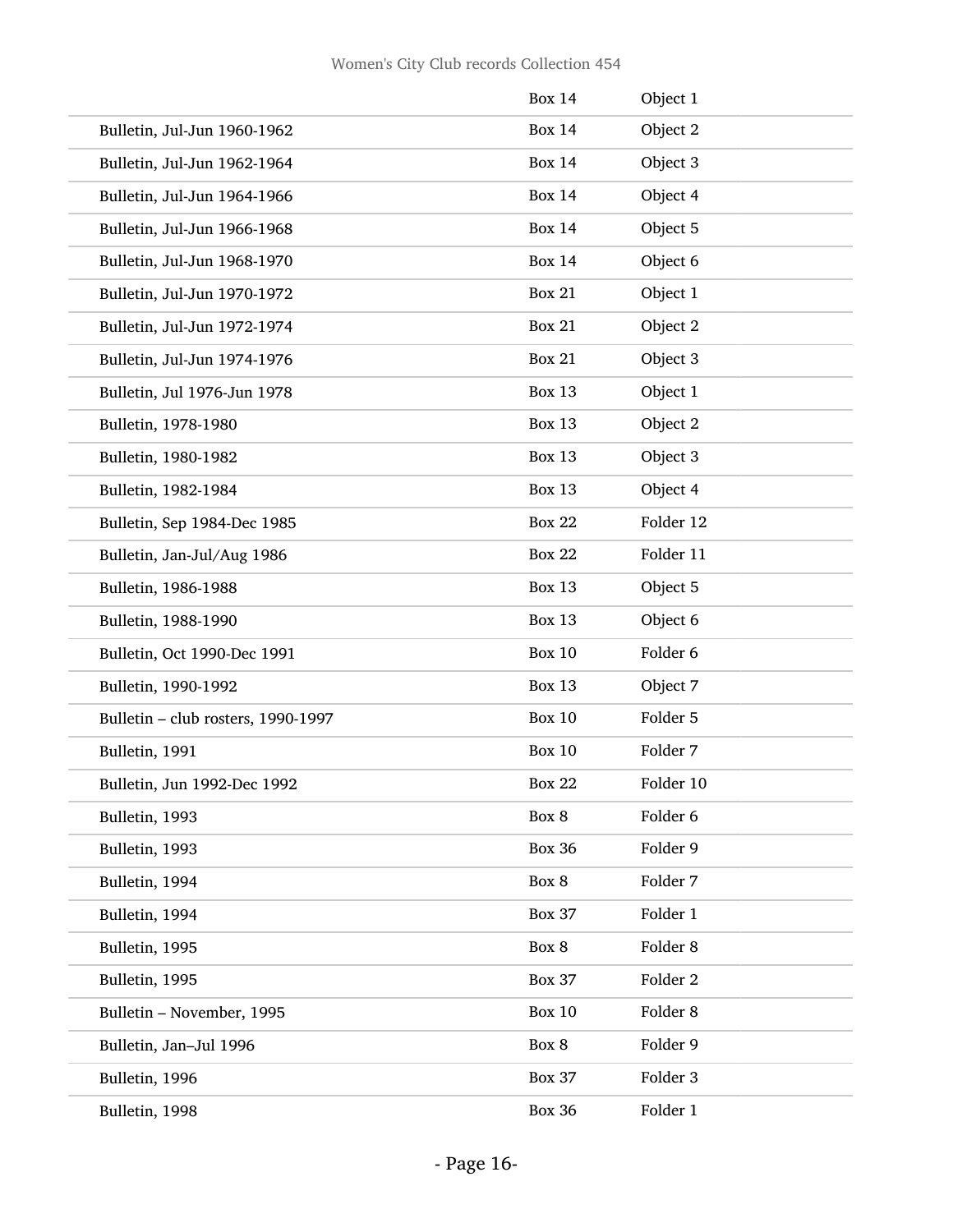|                                    | <b>Box 14</b> | Object 1  |
|------------------------------------|---------------|-----------|
| Bulletin, Jul-Jun 1960-1962        | <b>Box 14</b> | Object 2  |
| Bulletin, Jul-Jun 1962-1964        | <b>Box 14</b> | Object 3  |
| Bulletin, Jul-Jun 1964-1966        | <b>Box 14</b> | Object 4  |
| Bulletin, Jul-Jun 1966-1968        | <b>Box 14</b> | Object 5  |
| Bulletin, Jul-Jun 1968-1970        | <b>Box 14</b> | Object 6  |
| Bulletin, Jul-Jun 1970-1972        | <b>Box 21</b> | Object 1  |
| Bulletin, Jul-Jun 1972-1974        | <b>Box 21</b> | Object 2  |
| Bulletin, Jul-Jun 1974-1976        | <b>Box 21</b> | Object 3  |
| Bulletin, Jul 1976-Jun 1978        | <b>Box 13</b> | Object 1  |
| Bulletin, 1978-1980                | <b>Box 13</b> | Object 2  |
| Bulletin, 1980-1982                | <b>Box 13</b> | Object 3  |
| Bulletin, 1982-1984                | <b>Box 13</b> | Object 4  |
| Bulletin, Sep 1984-Dec 1985        | <b>Box 22</b> | Folder 12 |
| Bulletin, Jan-Jul/Aug 1986         | <b>Box 22</b> | Folder 11 |
| Bulletin, 1986-1988                | <b>Box 13</b> | Object 5  |
| Bulletin, 1988-1990                | <b>Box 13</b> | Object 6  |
| Bulletin, Oct 1990-Dec 1991        | <b>Box 10</b> | Folder 6  |
| Bulletin, 1990-1992                | <b>Box 13</b> | Object 7  |
| Bulletin - club rosters, 1990-1997 | <b>Box 10</b> | Folder 5  |
| Bulletin, 1991                     | <b>Box 10</b> | Folder 7  |
| Bulletin, Jun 1992-Dec 1992        | <b>Box 22</b> | Folder 10 |
| Bulletin, 1993                     | Box 8         | Folder 6  |
| Bulletin, 1993                     | <b>Box 36</b> | Folder 9  |
| Bulletin, 1994                     | Box 8         | Folder 7  |
| Bulletin, 1994                     | <b>Box 37</b> | Folder 1  |
| Bulletin, 1995                     | Box 8         | Folder 8  |
| Bulletin, 1995                     | <b>Box 37</b> | Folder 2  |
| Bulletin - November, 1995          | <b>Box 10</b> | Folder 8  |
| Bulletin, Jan-Jul 1996             | Box 8         | Folder 9  |
| Bulletin, 1996                     | <b>Box 37</b> | Folder 3  |
| Bulletin, 1998                     | <b>Box 36</b> | Folder 1  |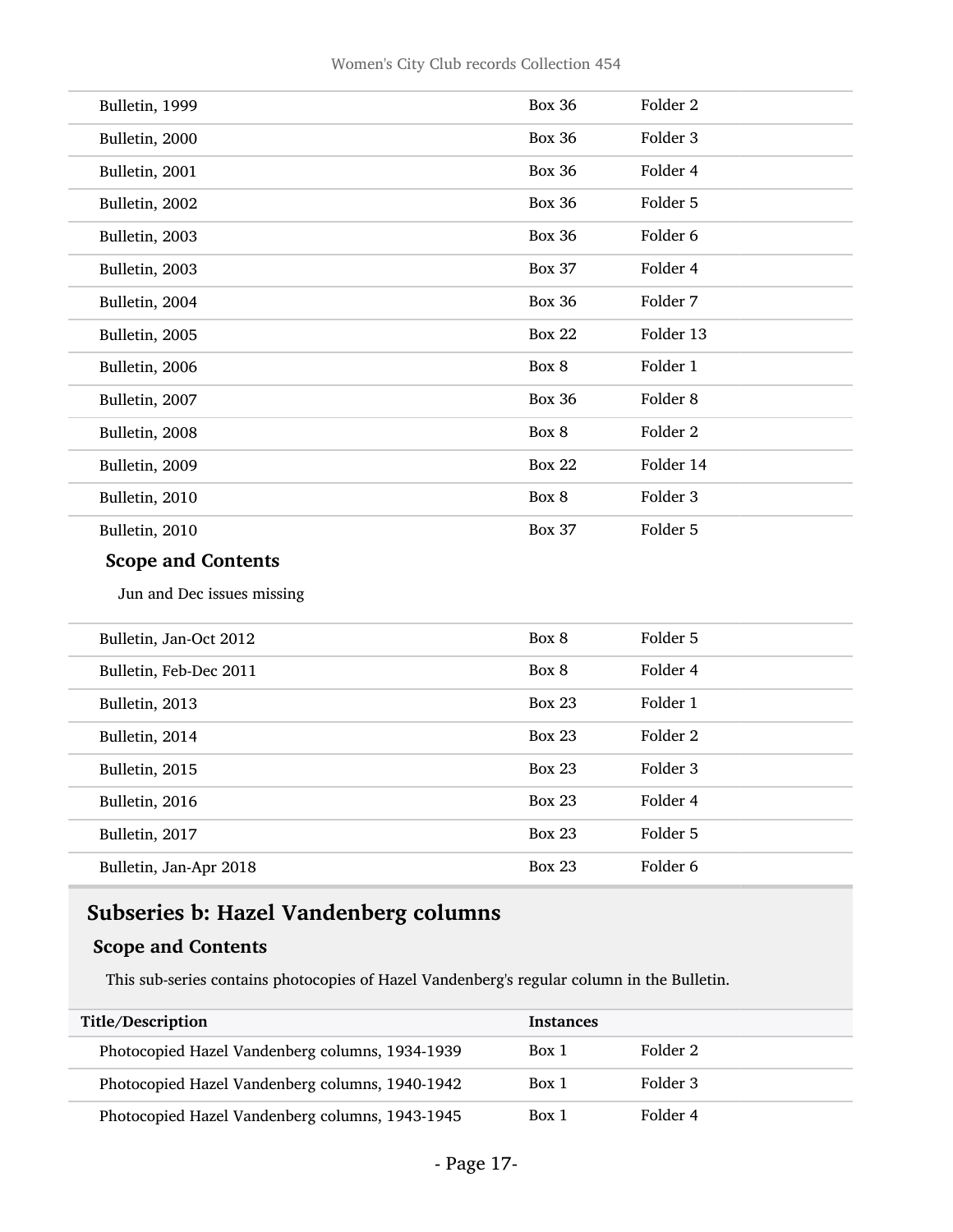| Bulletin, 1999             | <b>Box 36</b> | Folder <sub>2</sub> |
|----------------------------|---------------|---------------------|
| Bulletin, 2000             | <b>Box 36</b> | Folder 3            |
| Bulletin, 2001             | <b>Box 36</b> | Folder 4            |
| Bulletin, 2002             | <b>Box 36</b> | Folder 5            |
| Bulletin, 2003             | <b>Box 36</b> | Folder 6            |
| Bulletin, 2003             | <b>Box 37</b> | Folder 4            |
| Bulletin, 2004             | <b>Box 36</b> | Folder 7            |
| Bulletin, 2005             | <b>Box 22</b> | Folder 13           |
| Bulletin, 2006             | Box 8         | Folder 1            |
| Bulletin, 2007             | <b>Box 36</b> | Folder <sub>8</sub> |
| Bulletin, 2008             | Box 8         | Folder <sub>2</sub> |
| Bulletin, 2009             | <b>Box 22</b> | Folder 14           |
| Bulletin, 2010             | Box 8         | Folder 3            |
| Bulletin, 2010             | <b>Box 37</b> | Folder 5            |
| <b>Scope and Contents</b>  |               |                     |
| Jun and Dec issues missing |               |                     |
| Bulletin, Jan-Oct 2012     | Box 8         | Folder 5            |
| Bulletin, Feb-Dec 2011     | Box 8         | Folder 4            |
| Bulletin, 2013             | <b>Box 23</b> | Folder 1            |
| Bulletin, 2014             | <b>Box 23</b> | Folder <sub>2</sub> |
| Bulletin, 2015             | <b>Box 23</b> | Folder 3            |
| Bulletin, 2016             | <b>Box 23</b> | Folder 4            |
| Bulletin, 2017             | <b>Box 23</b> | Folder 5            |
| Bulletin, Jan-Apr 2018     | <b>Box 23</b> | Folder 6            |

### <span id="page-16-0"></span>Subseries b: Hazel Vandenberg columns

#### Scope and Contents

This sub-series contains photocopies of Hazel Vandenberg's regular column in the Bulletin.

| Title/Description                               | <b>Instances</b> |          |
|-------------------------------------------------|------------------|----------|
| Photocopied Hazel Vandenberg columns, 1934-1939 | Box 1            | Folder 2 |
| Photocopied Hazel Vandenberg columns, 1940-1942 | Box 1            | Folder 3 |
| Photocopied Hazel Vandenberg columns, 1943-1945 | Box 1            | Folder 4 |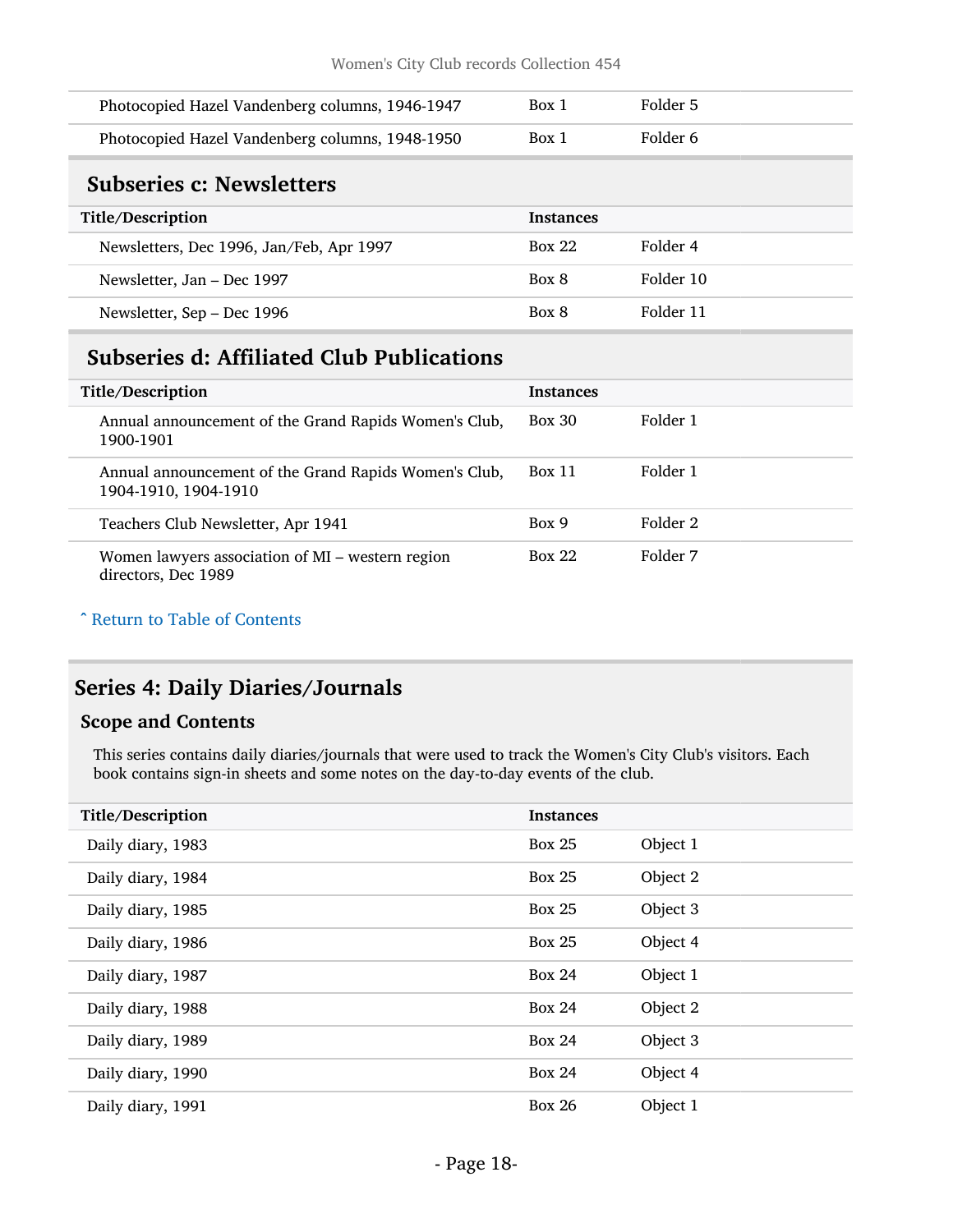<span id="page-17-0"></span>

| Photocopied Hazel Vandenberg columns, 1946-1947  | Box 1            | Folder 5  |
|--------------------------------------------------|------------------|-----------|
| Photocopied Hazel Vandenberg columns, 1948-1950  | Box 1            | Folder 6  |
| <b>Subseries c: Newsletters</b>                  |                  |           |
| Title/Description                                | <b>Instances</b> |           |
| Newsletters, Dec 1996, Jan/Feb, Apr 1997         | Box 22           | Folder 4  |
| Newsletter, Jan – Dec 1997                       | Box 8            | Folder 10 |
| Newsletter, Sep - Dec 1996                       | Box 8            | Folder 11 |
| <b>Subseries d: Affiliated Club Publications</b> |                  |           |

<span id="page-17-1"></span>

| Title/Description                                                             | <b>Instances</b> |          |
|-------------------------------------------------------------------------------|------------------|----------|
| Annual announcement of the Grand Rapids Women's Club,<br>1900-1901            | <b>Box 30</b>    | Folder 1 |
| Annual announcement of the Grand Rapids Women's Club,<br>1904-1910, 1904-1910 | <b>Box 11</b>    | Folder 1 |
| Teachers Club Newsletter, Apr 1941                                            | Box 9            | Folder 2 |
| Women lawyers association of MI – western region<br>directors, Dec 1989       | <b>Box 22</b>    | Folder 7 |

#### ^ [Return to Table of Contents](#page-1-0)

### <span id="page-17-2"></span>Series 4: Daily Diaries/Journals

#### Scope and Contents

This series contains daily diaries/journals that were used to track the Women's City Club's visitors. Each book contains sign-in sheets and some notes on the day-to-day events of the club.

| Title/Description | <b>Instances</b> |          |
|-------------------|------------------|----------|
| Daily diary, 1983 | <b>Box 25</b>    | Object 1 |
| Daily diary, 1984 | <b>Box 25</b>    | Object 2 |
| Daily diary, 1985 | <b>Box 25</b>    | Object 3 |
| Daily diary, 1986 | <b>Box 25</b>    | Object 4 |
| Daily diary, 1987 | <b>Box 24</b>    | Object 1 |
| Daily diary, 1988 | <b>Box 24</b>    | Object 2 |
| Daily diary, 1989 | <b>Box 24</b>    | Object 3 |
| Daily diary, 1990 | <b>Box 24</b>    | Object 4 |
| Daily diary, 1991 | <b>Box 26</b>    | Object 1 |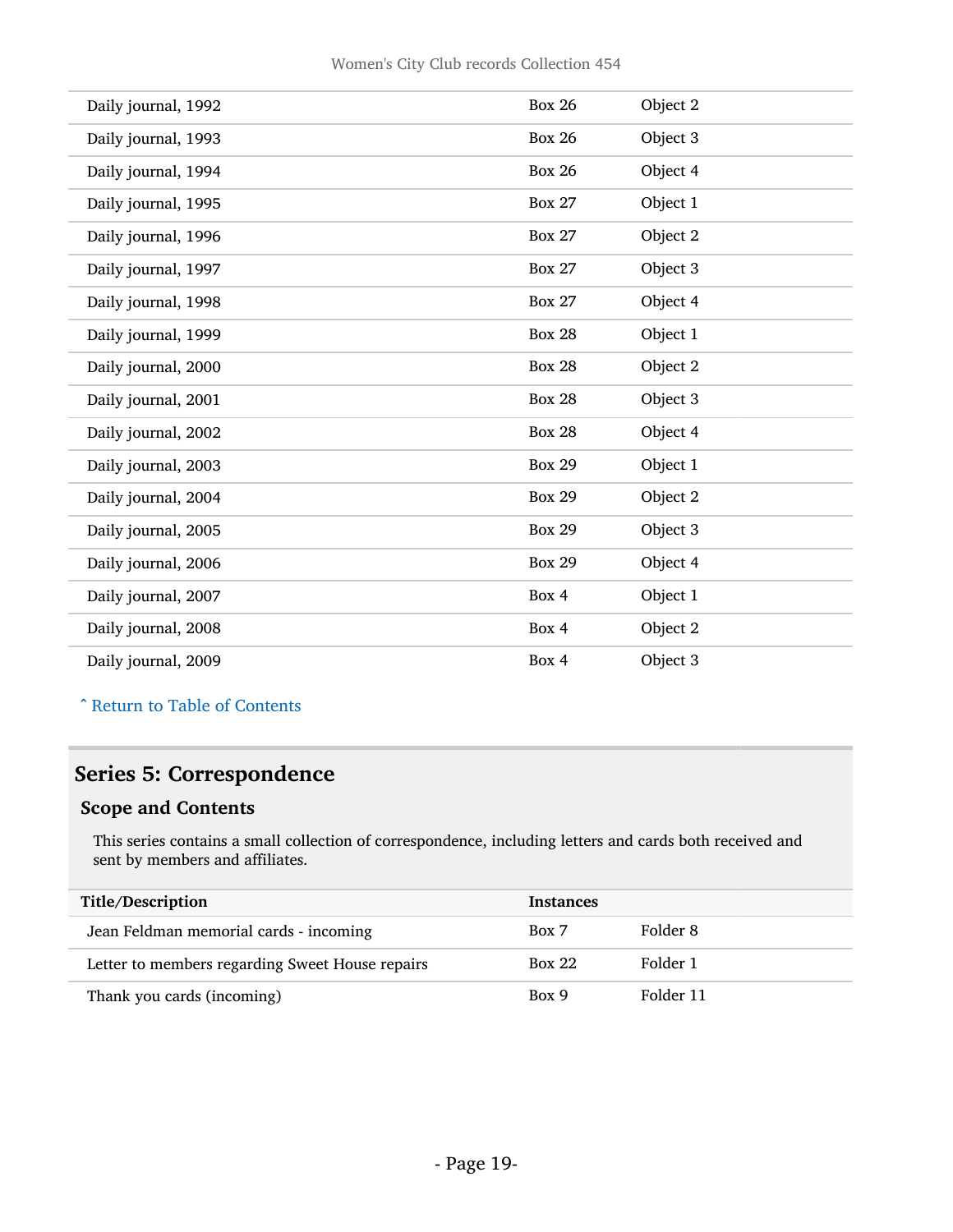| Daily journal, 1992 | <b>Box 26</b> | Object 2 |
|---------------------|---------------|----------|
| Daily journal, 1993 | <b>Box 26</b> | Object 3 |
| Daily journal, 1994 | <b>Box 26</b> | Object 4 |
| Daily journal, 1995 | <b>Box 27</b> | Object 1 |
| Daily journal, 1996 | <b>Box 27</b> | Object 2 |
| Daily journal, 1997 | <b>Box 27</b> | Object 3 |
| Daily journal, 1998 | <b>Box 27</b> | Object 4 |
| Daily journal, 1999 | <b>Box 28</b> | Object 1 |
| Daily journal, 2000 | <b>Box 28</b> | Object 2 |
| Daily journal, 2001 | <b>Box 28</b> | Object 3 |
| Daily journal, 2002 | <b>Box 28</b> | Object 4 |
| Daily journal, 2003 | <b>Box 29</b> | Object 1 |
| Daily journal, 2004 | <b>Box 29</b> | Object 2 |
| Daily journal, 2005 | <b>Box 29</b> | Object 3 |
| Daily journal, 2006 | <b>Box 29</b> | Object 4 |
| Daily journal, 2007 | Box 4         | Object 1 |
| Daily journal, 2008 | Box 4         | Object 2 |
| Daily journal, 2009 | Box 4         | Object 3 |

^ [Return to Table of Contents](#page-1-0)

### <span id="page-18-0"></span>Series 5: Correspondence

#### Scope and Contents

This series contains a small collection of correspondence, including letters and cards both received and sent by members and affiliates.

| Title/Description                               | <b>Instances</b> |           |
|-------------------------------------------------|------------------|-----------|
| Jean Feldman memorial cards - incoming          | Box 7            | Folder 8  |
| Letter to members regarding Sweet House repairs | <b>Box 22</b>    | Folder 1  |
| Thank you cards (incoming)                      | Box 9            | Folder 11 |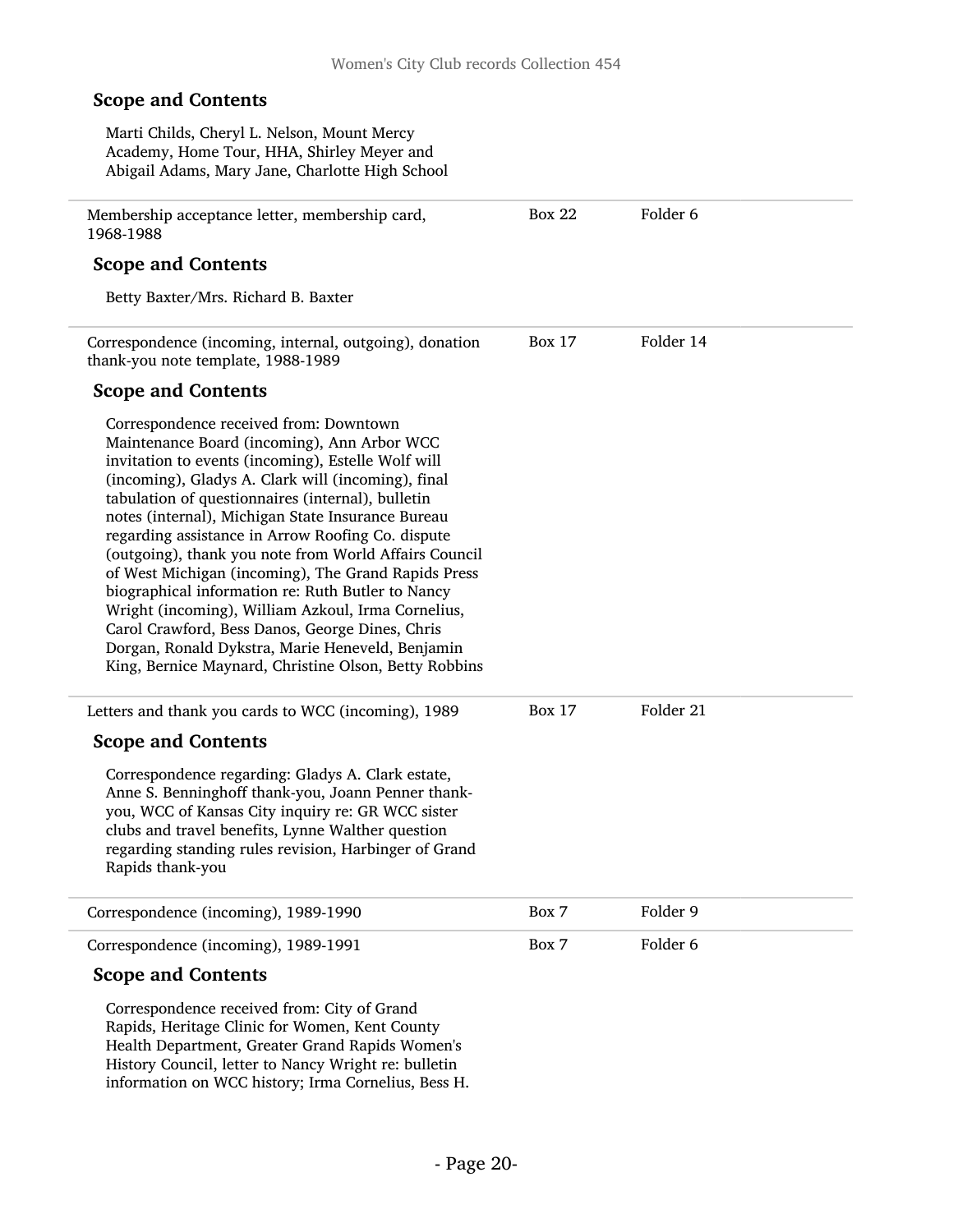Box 22 Folder 6

#### Scope and Contents

Marti Childs, Cheryl L. Nelson, Mount Mercy Academy, Home Tour, HHA, Shirley Meyer and Abigail Adams, Mary Jane, Charlotte High School

Membership acceptance letter, membership card, 1968-1988

#### Scope and Contents

Betty Baxter/Mrs. Richard B. Baxter

Correspondence (incoming, internal, outgoing), donation thank-you note template, 1988-1989 Box 17 Folder 14

#### Scope and Contents

Correspondence received from: Downtown Maintenance Board (incoming), Ann Arbor WCC invitation to events (incoming), Estelle Wolf will (incoming), Gladys A. Clark will (incoming), final tabulation of questionnaires (internal), bulletin notes (internal), Michigan State Insurance Bureau regarding assistance in Arrow Roofing Co. dispute (outgoing), thank you note from World Affairs Council of West Michigan (incoming), The Grand Rapids Press biographical information re: Ruth Butler to Nancy Wright (incoming), William Azkoul, Irma Cornelius, Carol Crawford, Bess Danos, George Dines, Chris Dorgan, Ronald Dykstra, Marie Heneveld, Benjamin King, Bernice Maynard, Christine Olson, Betty Robbins

Letters and thank you cards to WCC (incoming), 1989 Scope and Contents Correspondence regarding: Gladys A. Clark estate, Anne S. Benninghoff thank-you, Joann Penner thankyou, WCC of Kansas City inquiry re: GR WCC sister clubs and travel benefits, Lynne Walther question regarding standing rules revision, Harbinger of Grand Rapids thank-you Box 17 Folder 21 Correspondence (incoming), 1989-1990 Box 7 Folder 9 Correspondence (incoming), 1989-1991 Box 7 Folder 6

#### Scope and Contents

Correspondence received from: City of Grand Rapids, Heritage Clinic for Women, Kent County Health Department, Greater Grand Rapids Women's History Council, letter to Nancy Wright re: bulletin information on WCC history; Irma Cornelius, Bess H.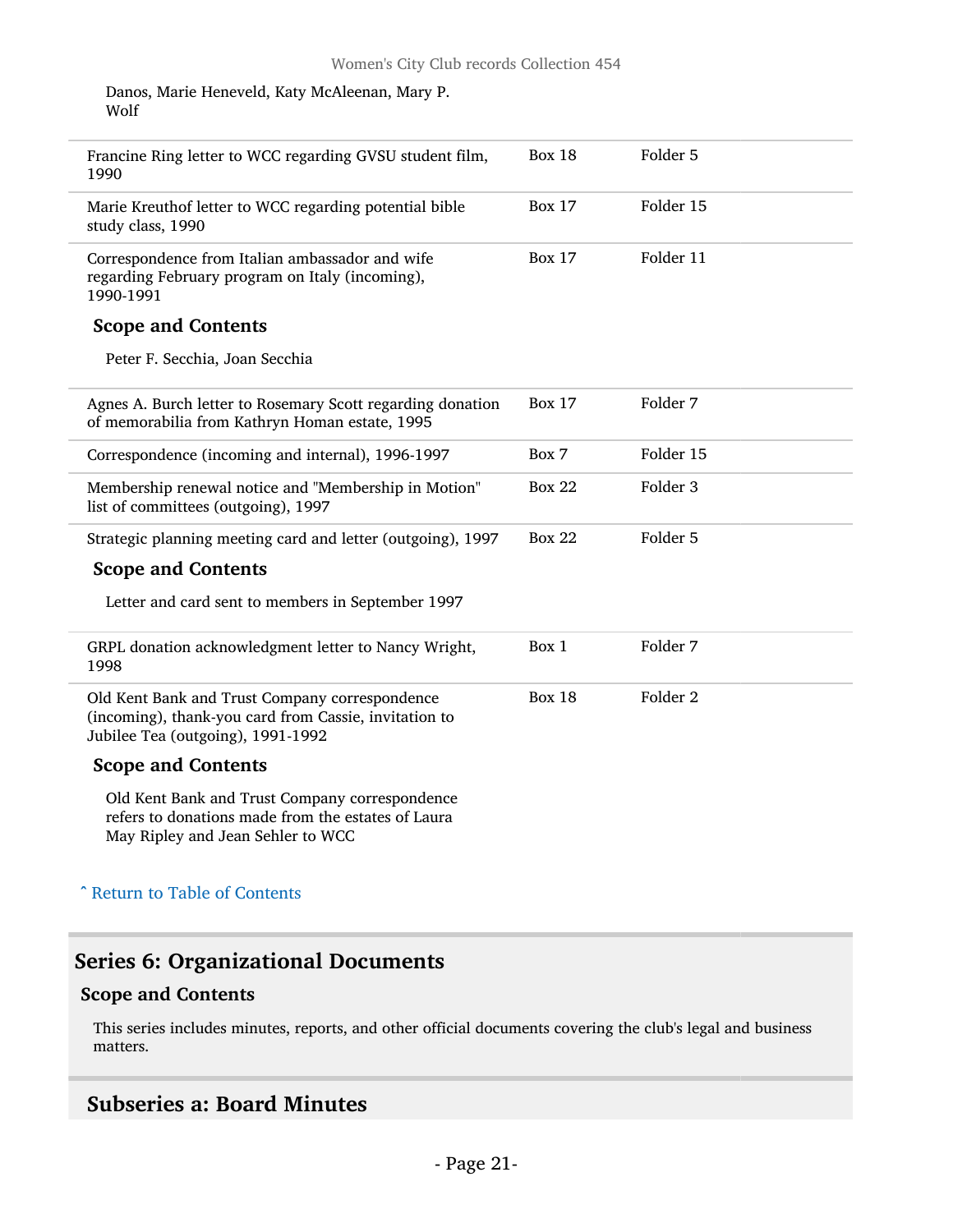Danos, Marie Heneveld, Katy McAleenan, Mary P. Wolf

| Francine Ring letter to WCC regarding GVSU student film,<br>1990                                                                             | <b>Box 18</b> | Folder 5            |  |
|----------------------------------------------------------------------------------------------------------------------------------------------|---------------|---------------------|--|
| Marie Kreuthof letter to WCC regarding potential bible<br>study class, 1990                                                                  | <b>Box 17</b> | Folder 15           |  |
| Correspondence from Italian ambassador and wife<br>regarding February program on Italy (incoming),<br>1990-1991                              | <b>Box 17</b> | Folder 11           |  |
| <b>Scope and Contents</b>                                                                                                                    |               |                     |  |
| Peter F. Secchia, Joan Secchia                                                                                                               |               |                     |  |
| Agnes A. Burch letter to Rosemary Scott regarding donation<br>of memorabilia from Kathryn Homan estate, 1995                                 | <b>Box 17</b> | Folder 7            |  |
| Correspondence (incoming and internal), 1996-1997                                                                                            | Box 7         | Folder 15           |  |
| Membership renewal notice and "Membership in Motion"<br>list of committees (outgoing), 1997                                                  | <b>Box 22</b> | Folder 3            |  |
| Strategic planning meeting card and letter (outgoing), 1997                                                                                  | <b>Box 22</b> | Folder 5            |  |
| <b>Scope and Contents</b>                                                                                                                    |               |                     |  |
| Letter and card sent to members in September 1997                                                                                            |               |                     |  |
| GRPL donation acknowledgment letter to Nancy Wright,<br>1998                                                                                 | Box 1         | Folder 7            |  |
| Old Kent Bank and Trust Company correspondence<br>(incoming), thank-you card from Cassie, invitation to<br>Jubilee Tea (outgoing), 1991-1992 | <b>Box 18</b> | Folder <sub>2</sub> |  |
| <b>Scope and Contents</b>                                                                                                                    |               |                     |  |
| Old Kent Bank and Trust Company correspondence<br>refers to donations made from the estates of Laura<br>May Ripley and Jean Sehler to WCC    |               |                     |  |
| <b>A Return to Table of Contents</b>                                                                                                         |               |                     |  |

### <span id="page-20-0"></span>Series 6: Organizational Documents

#### Scope and Contents

This series includes minutes, reports, and other official documents covering the club's legal and business matters.

### <span id="page-20-1"></span>Subseries a: Board Minutes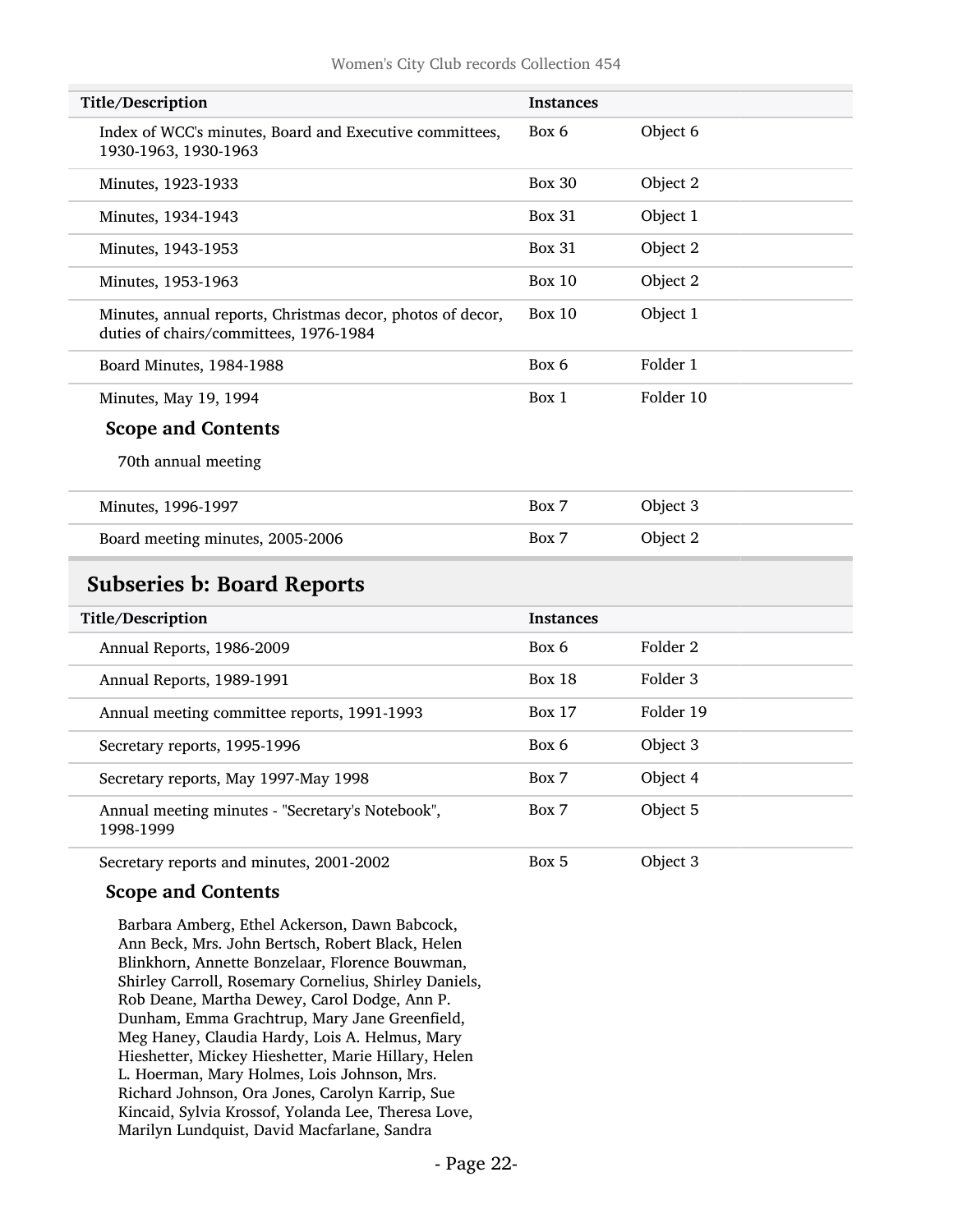| Title/Description                                                                                    | <b>Instances</b> |                     |
|------------------------------------------------------------------------------------------------------|------------------|---------------------|
| Index of WCC's minutes, Board and Executive committees,<br>1930-1963, 1930-1963                      | Box 6            | Object 6            |
| Minutes, 1923-1933                                                                                   | Box 30           | Object 2            |
| Minutes, 1934-1943                                                                                   | <b>Box 31</b>    | Object 1            |
| Minutes, 1943-1953                                                                                   | <b>Box 31</b>    | Object 2            |
| Minutes, 1953-1963                                                                                   | <b>Box 10</b>    | Object 2            |
| Minutes, annual reports, Christmas decor, photos of decor,<br>duties of chairs/committees, 1976-1984 | Box 10           | Object 1            |
| Board Minutes, 1984-1988                                                                             | Box 6            | Folder 1            |
| Minutes, May 19, 1994                                                                                | Box 1            | Folder 10           |
| <b>Scope and Contents</b>                                                                            |                  |                     |
| 70th annual meeting                                                                                  |                  |                     |
| Minutes, 1996-1997                                                                                   | Box 7            | Object 3            |
| Board meeting minutes, 2005-2006                                                                     | Box 7            | Object 2            |
| <b>Subseries b: Board Reports</b>                                                                    |                  |                     |
| Title/Description                                                                                    | <b>Instances</b> |                     |
| Annual Reports, 1986-2009                                                                            | Box 6            | Folder <sub>2</sub> |
| Annual Reports, 1989-1991                                                                            | <b>Box 18</b>    | Folder 3            |
| Annual meeting committee reports, 1991-1993                                                          | <b>Box 17</b>    | Folder 19           |
| Secretary reports, 1995-1996                                                                         | Box 6            | Object 3            |
| Secretary reports, May 1997-May 1998                                                                 | Box 7            | Object 4            |
| Annual meeting minutes - "Secretary's Notebook",<br>1998-1999                                        | Box 7            | Object 5            |
| Secretary reports and minutes, 2001-2002                                                             | Box 5            | Object 3            |

#### <span id="page-21-0"></span>Scope and Contents

Barbara Amberg, Ethel Ackerson, Dawn Babcock, Ann Beck, Mrs. John Bertsch, Robert Black, Helen Blinkhorn, Annette Bonzelaar, Florence Bouwman, Shirley Carroll, Rosemary Cornelius, Shirley Daniels, Rob Deane, Martha Dewey, Carol Dodge, Ann P. Dunham, Emma Grachtrup, Mary Jane Greenfield, Meg Haney, Claudia Hardy, Lois A. Helmus, Mary Hieshetter, Mickey Hieshetter, Marie Hillary, Helen L. Hoerman, Mary Holmes, Lois Johnson, Mrs. Richard Johnson, Ora Jones, Carolyn Karrip, Sue Kincaid, Sylvia Krossof, Yolanda Lee, Theresa Love, Marilyn Lundquist, David Macfarlane, Sandra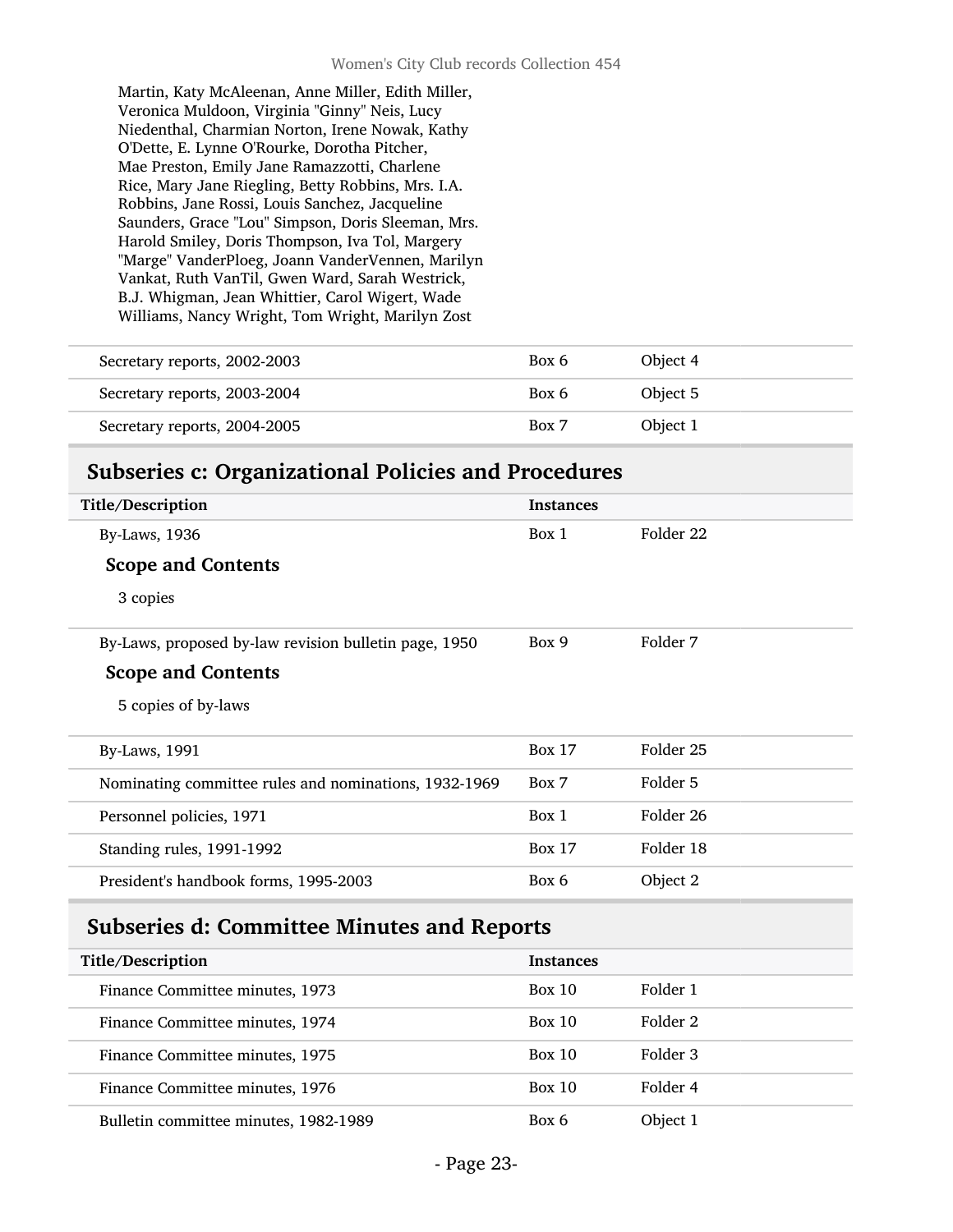Martin, Katy McAleenan, Anne Miller, Edith Miller, Veronica Muldoon, Virginia "Ginny" Neis, Lucy Niedenthal, Charmian Norton, Irene Nowak, Kathy O'Dette, E. Lynne O'Rourke, Dorotha Pitcher, Mae Preston, Emily Jane Ramazzotti, Charlene Rice, Mary Jane Riegling, Betty Robbins, Mrs. I.A. Robbins, Jane Rossi, Louis Sanchez, Jacqueline Saunders, Grace "Lou" Simpson, Doris Sleeman, Mrs. Harold Smiley, Doris Thompson, Iva Tol, Margery "Marge" VanderPloeg, Joann VanderVennen, Marilyn Vankat, Ruth VanTil, Gwen Ward, Sarah Westrick, B.J. Whigman, Jean Whittier, Carol Wigert, Wade Williams, Nancy Wright, Tom Wright, Marilyn Zost

| Secretary reports, 2002-2003 | Box 6 | Object 4 |
|------------------------------|-------|----------|
| Secretary reports, 2003-2004 | Box 6 | Object 5 |
| Secretary reports, 2004-2005 | Box 7 | Object 1 |

### <span id="page-22-0"></span>Subseries c: Organizational Policies and Procedures

| Title/Description                                     | <b>Instances</b> |           |  |
|-------------------------------------------------------|------------------|-----------|--|
| <b>By-Laws</b> , 1936                                 | Box 1            | Folder 22 |  |
| <b>Scope and Contents</b>                             |                  |           |  |
| 3 copies                                              |                  |           |  |
| By-Laws, proposed by-law revision bulletin page, 1950 | Box 9            | Folder 7  |  |
| <b>Scope and Contents</b>                             |                  |           |  |
| 5 copies of by-laws                                   |                  |           |  |
| By-Laws, 1991                                         | <b>Box 17</b>    | Folder 25 |  |
| Nominating committee rules and nominations, 1932-1969 | Box 7            | Folder 5  |  |
| Personnel policies, 1971                              | Box 1            | Folder 26 |  |
| Standing rules, 1991-1992                             | <b>Box 17</b>    | Folder 18 |  |
| President's handbook forms, 1995-2003                 | Box 6            | Object 2  |  |
| <b>Subseries d: Committee Minutes and Reports</b>     |                  |           |  |
| Title/Description                                     | <b>Instances</b> |           |  |
| Finance Committee minutes 1073                        | Box 10           | Folder 1  |  |

<span id="page-22-1"></span>

| THE DESCRIPTION                       | шыашсы |          |
|---------------------------------------|--------|----------|
| Finance Committee minutes, 1973       | Box 10 | Folder 1 |
| Finance Committee minutes, 1974       | Box 10 | Folder 2 |
| Finance Committee minutes, 1975       | Box 10 | Folder 3 |
| Finance Committee minutes, 1976       | Box 10 | Folder 4 |
| Bulletin committee minutes, 1982-1989 | Box 6  | Object 1 |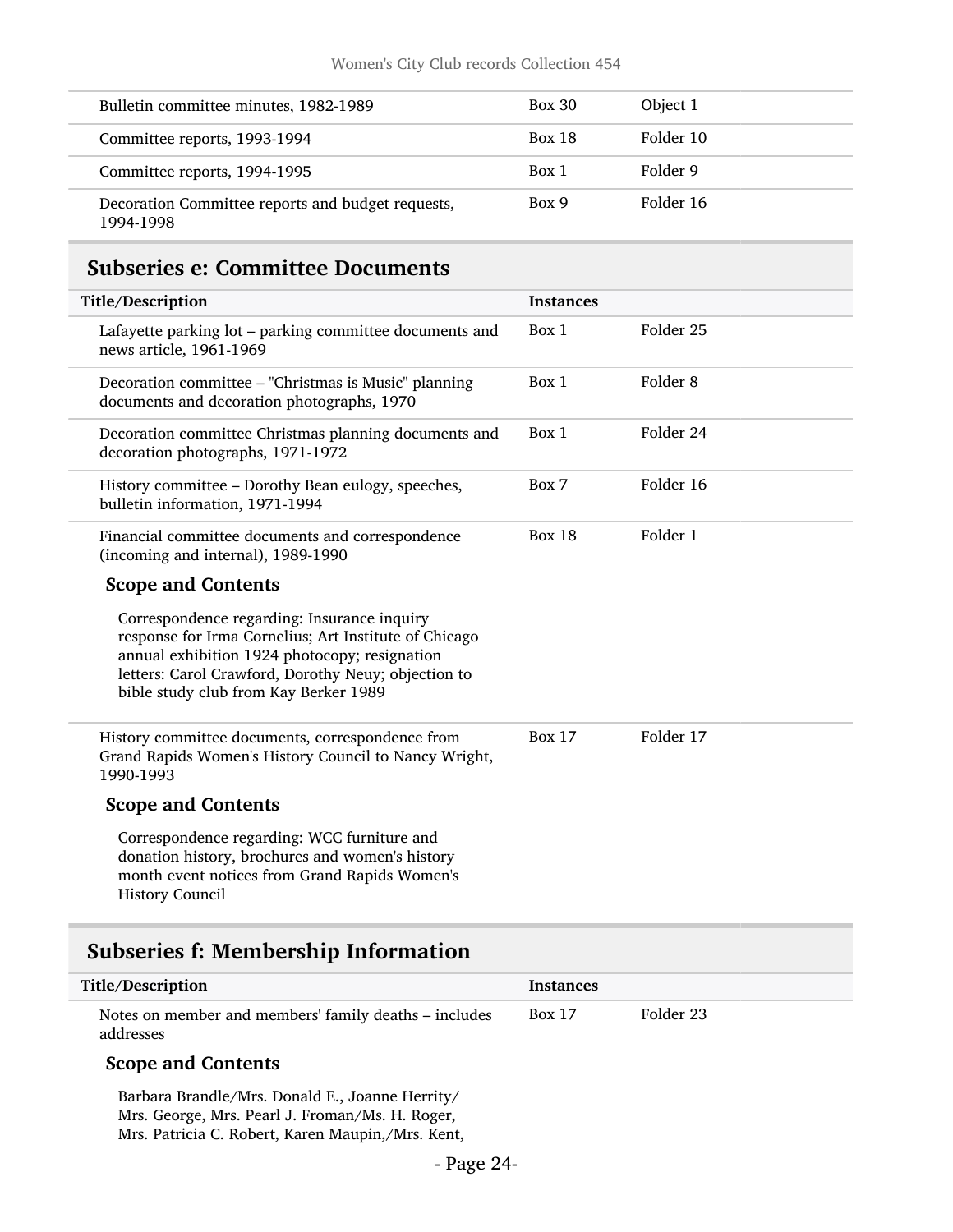| Bulletin committee minutes, 1982-1989                          | <b>Box 30</b> | Object 1  |
|----------------------------------------------------------------|---------------|-----------|
| Committee reports, 1993-1994                                   | <b>Box 18</b> | Folder 10 |
| Committee reports, 1994-1995                                   | Box 1         | Folder 9  |
| Decoration Committee reports and budget requests,<br>1994-1998 | Box 9         | Folder 16 |

### <span id="page-23-0"></span>Subseries e: Committee Documents

| Title/Description                                                                                                                                                                                                                                     | <b>Instances</b> |                      |
|-------------------------------------------------------------------------------------------------------------------------------------------------------------------------------------------------------------------------------------------------------|------------------|----------------------|
| Lafayette parking lot – parking committee documents and<br>news article, 1961-1969                                                                                                                                                                    | Box 1            | Folder <sub>25</sub> |
| Decoration committee - "Christmas is Music" planning<br>documents and decoration photographs, 1970                                                                                                                                                    | Box 1            | Folder <sub>8</sub>  |
| Decoration committee Christmas planning documents and<br>decoration photographs, 1971-1972                                                                                                                                                            | Box 1            | Folder 24            |
| History committee – Dorothy Bean eulogy, speeches,<br>bulletin information, 1971-1994                                                                                                                                                                 | Box 7            | Folder 16            |
| Financial committee documents and correspondence<br>(incoming and internal), 1989-1990                                                                                                                                                                | <b>Box 18</b>    | Folder 1             |
| <b>Scope and Contents</b>                                                                                                                                                                                                                             |                  |                      |
| Correspondence regarding: Insurance inquiry<br>response for Irma Cornelius; Art Institute of Chicago<br>annual exhibition 1924 photocopy; resignation<br>letters: Carol Crawford, Dorothy Neuy; objection to<br>bible study club from Kay Berker 1989 |                  |                      |
| History committee documents, correspondence from<br>Grand Rapids Women's History Council to Nancy Wright,<br>1990-1993                                                                                                                                | <b>Box 17</b>    | Folder 17            |
| <b>Scope and Contents</b>                                                                                                                                                                                                                             |                  |                      |
| Correspondence regarding: WCC furniture and<br>donation history, brochures and women's history<br>month event notices from Grand Rapids Women's<br><b>History Council</b>                                                                             |                  |                      |

### <span id="page-23-1"></span>Subseries f: Membership Information

| Title/Description                                                  | Instances     |           |
|--------------------------------------------------------------------|---------------|-----------|
| Notes on member and members' family deaths – includes<br>addresses | <b>Box 17</b> | Folder 23 |

#### Scope and Contents

Barbara Brandle/Mrs. Donald E., Joanne Herrity/ Mrs. George, Mrs. Pearl J. Froman/Ms. H. Roger, Mrs. Patricia C. Robert, Karen Maupin,/Mrs. Kent,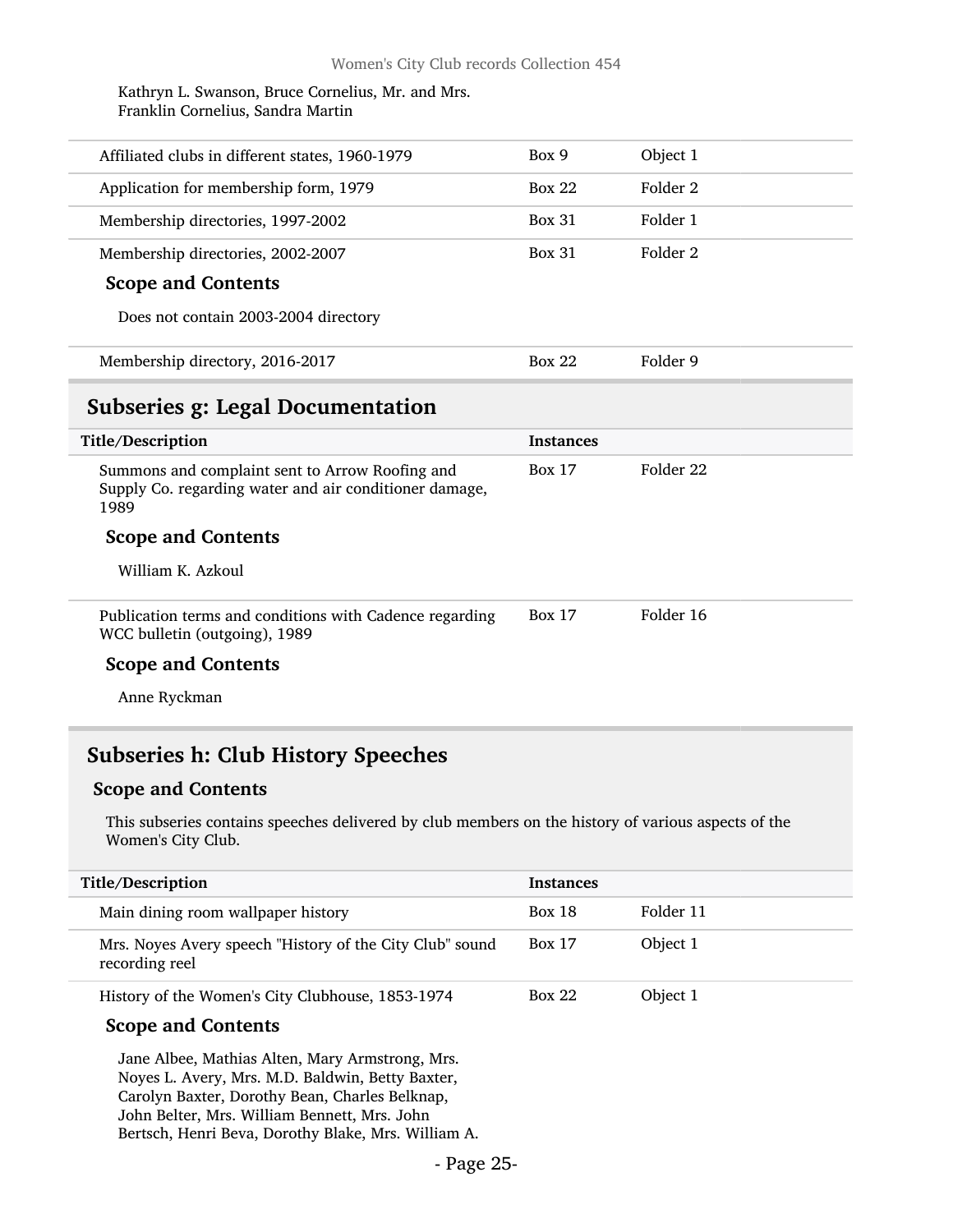Kathryn L. Swanson, Bruce Cornelius, Mr. and Mrs. Franklin Cornelius, Sandra Martin

<span id="page-24-0"></span>

| Affiliated clubs in different states, 1960-1979                                                                   | Box 9            | Object 1             |
|-------------------------------------------------------------------------------------------------------------------|------------------|----------------------|
| Application for membership form, 1979                                                                             | <b>Box 22</b>    | Folder 2             |
| Membership directories, 1997-2002                                                                                 | <b>Box 31</b>    | Folder 1             |
| Membership directories, 2002-2007                                                                                 | <b>Box 31</b>    | Folder 2             |
| <b>Scope and Contents</b>                                                                                         |                  |                      |
| Does not contain 2003-2004 directory                                                                              |                  |                      |
| Membership directory, 2016-2017                                                                                   | <b>Box 22</b>    | Folder 9             |
| <b>Subseries g: Legal Documentation</b>                                                                           |                  |                      |
|                                                                                                                   |                  |                      |
| Title/Description                                                                                                 | <b>Instances</b> |                      |
| Summons and complaint sent to Arrow Roofing and<br>Supply Co. regarding water and air conditioner damage,<br>1989 | <b>Box 17</b>    | Folder <sub>22</sub> |
| <b>Scope and Contents</b>                                                                                         |                  |                      |
| William K. Azkoul                                                                                                 |                  |                      |
| Publication terms and conditions with Cadence regarding<br>WCC bulletin (outgoing), 1989                          | <b>Box 17</b>    | Folder 16            |
| <b>Scope and Contents</b>                                                                                         |                  |                      |

### <span id="page-24-1"></span>Subseries h: Club History Speeches

#### Scope and Contents

This subseries contains speeches delivered by club members on the history of various aspects of the Women's City Club.

| Title/Description                                                          | <b>Instances</b> |           |
|----------------------------------------------------------------------------|------------------|-----------|
| Main dining room wallpaper history                                         | <b>Box 18</b>    | Folder 11 |
| Mrs. Noyes Avery speech "History of the City Club" sound<br>recording reel | <b>Box 17</b>    | Object 1  |
| History of the Women's City Clubhouse, 1853-1974                           | <b>Box 22</b>    | Object 1  |

#### Scope and Contents

Jane Albee, Mathias Alten, Mary Armstrong, Mrs. Noyes L. Avery, Mrs. M.D. Baldwin, Betty Baxter, Carolyn Baxter, Dorothy Bean, Charles Belknap, John Belter, Mrs. William Bennett, Mrs. John Bertsch, Henri Beva, Dorothy Blake, Mrs. William A.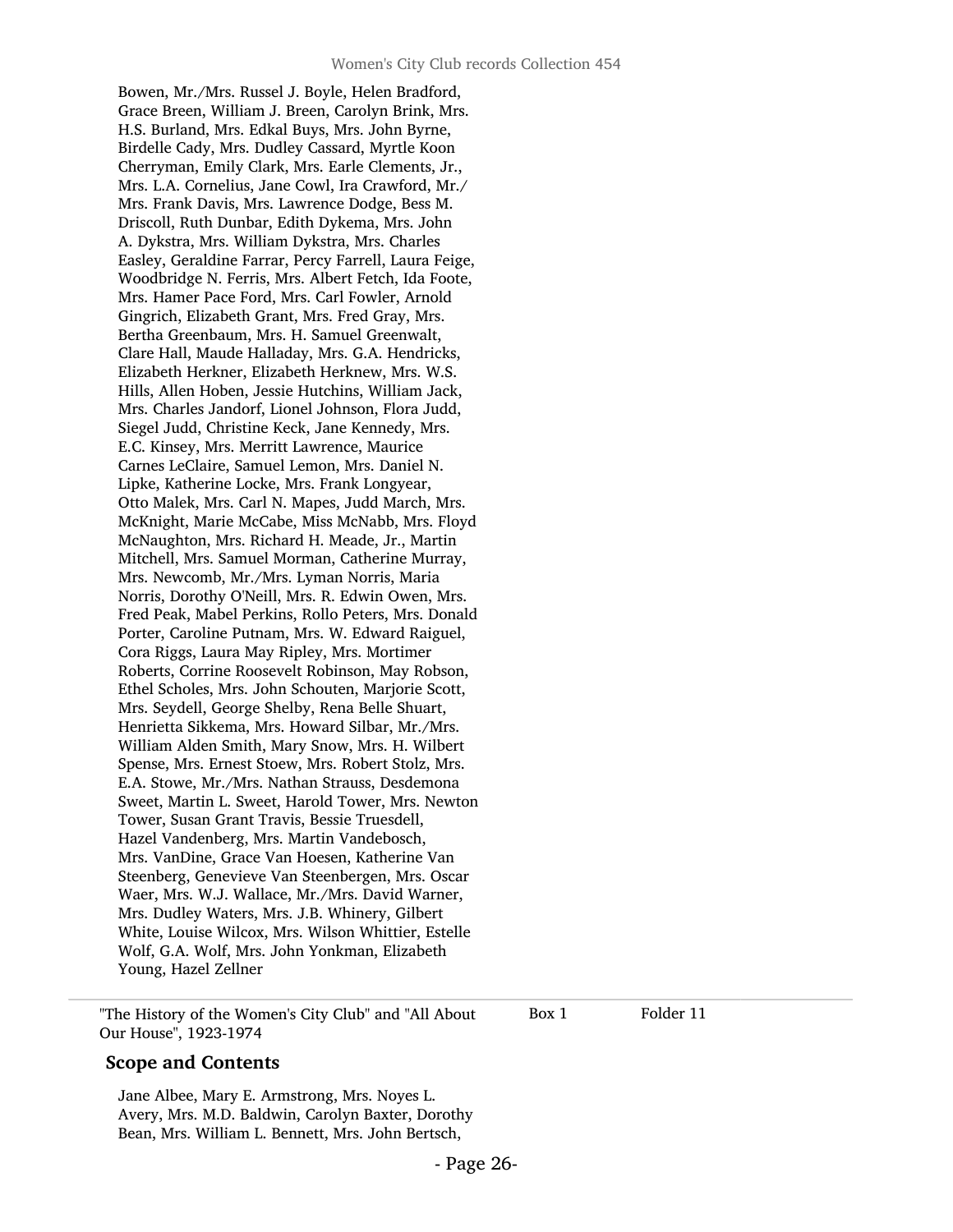Bowen, Mr./Mrs. Russel J. Boyle, Helen Bradford, Grace Breen, William J. Breen, Carolyn Brink, Mrs. H.S. Burland, Mrs. Edkal Buys, Mrs. John Byrne, Birdelle Cady, Mrs. Dudley Cassard, Myrtle Koon Cherryman, Emily Clark, Mrs. Earle Clements, Jr., Mrs. L.A. Cornelius, Jane Cowl, Ira Crawford, Mr./ Mrs. Frank Davis, Mrs. Lawrence Dodge, Bess M. Driscoll, Ruth Dunbar, Edith Dykema, Mrs. John A. Dykstra, Mrs. William Dykstra, Mrs. Charles Easley, Geraldine Farrar, Percy Farrell, Laura Feige, Woodbridge N. Ferris, Mrs. Albert Fetch, Ida Foote, Mrs. Hamer Pace Ford, Mrs. Carl Fowler, Arnold Gingrich, Elizabeth Grant, Mrs. Fred Gray, Mrs. Bertha Greenbaum, Mrs. H. Samuel Greenwalt, Clare Hall, Maude Halladay, Mrs. G.A. Hendricks, Elizabeth Herkner, Elizabeth Herknew, Mrs. W.S. Hills, Allen Hoben, Jessie Hutchins, William Jack, Mrs. Charles Jandorf, Lionel Johnson, Flora Judd, Siegel Judd, Christine Keck, Jane Kennedy, Mrs. E.C. Kinsey, Mrs. Merritt Lawrence, Maurice Carnes LeClaire, Samuel Lemon, Mrs. Daniel N. Lipke, Katherine Locke, Mrs. Frank Longyear, Otto Malek, Mrs. Carl N. Mapes, Judd March, Mrs. McKnight, Marie McCabe, Miss McNabb, Mrs. Floyd McNaughton, Mrs. Richard H. Meade, Jr., Martin Mitchell, Mrs. Samuel Morman, Catherine Murray, Mrs. Newcomb, Mr./Mrs. Lyman Norris, Maria Norris, Dorothy O'Neill, Mrs. R. Edwin Owen, Mrs. Fred Peak, Mabel Perkins, Rollo Peters, Mrs. Donald Porter, Caroline Putnam, Mrs. W. Edward Raiguel, Cora Riggs, Laura May Ripley, Mrs. Mortimer Roberts, Corrine Roosevelt Robinson, May Robson, Ethel Scholes, Mrs. John Schouten, Marjorie Scott, Mrs. Seydell, George Shelby, Rena Belle Shuart, Henrietta Sikkema, Mrs. Howard Silbar, Mr./Mrs. William Alden Smith, Mary Snow, Mrs. H. Wilbert Spense, Mrs. Ernest Stoew, Mrs. Robert Stolz, Mrs. E.A. Stowe, Mr./Mrs. Nathan Strauss, Desdemona Sweet, Martin L. Sweet, Harold Tower, Mrs. Newton Tower, Susan Grant Travis, Bessie Truesdell, Hazel Vandenberg, Mrs. Martin Vandebosch, Mrs. VanDine, Grace Van Hoesen, Katherine Van Steenberg, Genevieve Van Steenbergen, Mrs. Oscar Waer, Mrs. W.J. Wallace, Mr./Mrs. David Warner, Mrs. Dudley Waters, Mrs. J.B. Whinery, Gilbert White, Louise Wilcox, Mrs. Wilson Whittier, Estelle Wolf, G.A. Wolf, Mrs. John Yonkman, Elizabeth Young, Hazel Zellner

"The History of the Women's City Club" and "All About Our House", 1923-1974

Box 1 Folder 11

#### Scope and Contents

Jane Albee, Mary E. Armstrong, Mrs. Noyes L. Avery, Mrs. M.D. Baldwin, Carolyn Baxter, Dorothy Bean, Mrs. William L. Bennett, Mrs. John Bertsch,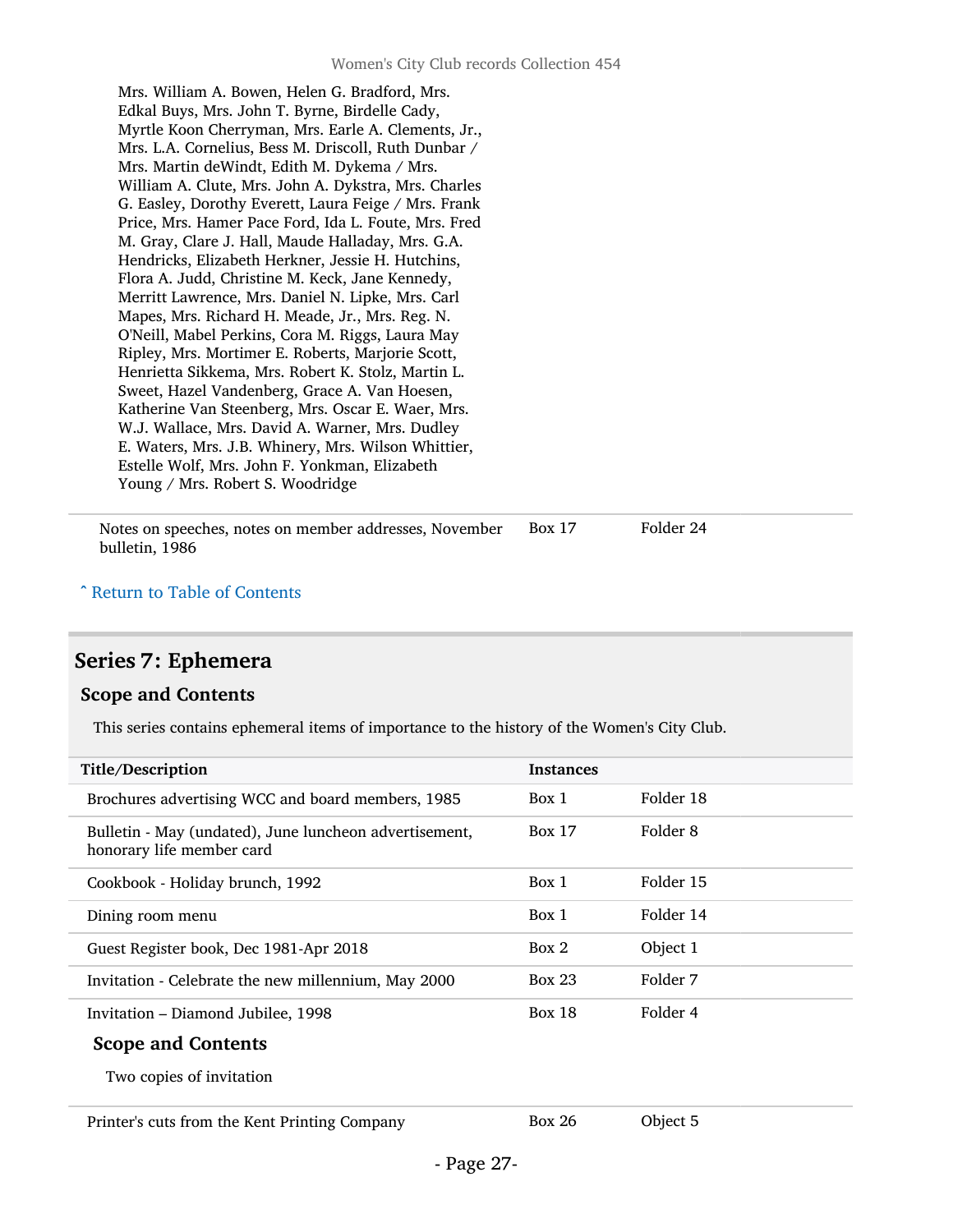Mrs. William A. Bowen, Helen G. Bradford, Mrs. Edkal Buys, Mrs. John T. Byrne, Birdelle Cady, Myrtle Koon Cherryman, Mrs. Earle A. Clements, Jr., Mrs. L.A. Cornelius, Bess M. Driscoll, Ruth Dunbar / Mrs. Martin deWindt, Edith M. Dykema / Mrs. William A. Clute, Mrs. John A. Dykstra, Mrs. Charles G. Easley, Dorothy Everett, Laura Feige / Mrs. Frank Price, Mrs. Hamer Pace Ford, Ida L. Foute, Mrs. Fred M. Gray, Clare J. Hall, Maude Halladay, Mrs. G.A. Hendricks, Elizabeth Herkner, Jessie H. Hutchins, Flora A. Judd, Christine M. Keck, Jane Kennedy, Merritt Lawrence, Mrs. Daniel N. Lipke, Mrs. Carl Mapes, Mrs. Richard H. Meade, Jr., Mrs. Reg. N. O'Neill, Mabel Perkins, Cora M. Riggs, Laura May Ripley, Mrs. Mortimer E. Roberts, Marjorie Scott, Henrietta Sikkema, Mrs. Robert K. Stolz, Martin L. Sweet, Hazel Vandenberg, Grace A. Van Hoesen, Katherine Van Steenberg, Mrs. Oscar E. Waer, Mrs. W.J. Wallace, Mrs. David A. Warner, Mrs. Dudley E. Waters, Mrs. J.B. Whinery, Mrs. Wilson Whittier, Estelle Wolf, Mrs. John F. Yonkman, Elizabeth Young / Mrs. Robert S. Woodridge

Notes on speeches, notes on member addresses, November bulletin, 1986 Box 17 Folder 24

#### ^ [Return to Table of Contents](#page-1-0)

### <span id="page-26-0"></span>Series 7: Ephemera

#### Scope and Contents

This series contains ephemeral items of importance to the history of the Women's City Club.

| Title/Description                                                                   | <b>Instances</b> |           |
|-------------------------------------------------------------------------------------|------------------|-----------|
| Brochures advertising WCC and board members, 1985                                   | Box 1            | Folder 18 |
| Bulletin - May (undated), June luncheon advertisement,<br>honorary life member card | <b>Box 17</b>    | Folder 8  |
| Cookbook - Holiday brunch, 1992                                                     | Box 1            | Folder 15 |
| Dining room menu                                                                    | Box 1            | Folder 14 |
| Guest Register book, Dec 1981-Apr 2018                                              | Box 2            | Object 1  |
| Invitation - Celebrate the new millennium, May 2000                                 | <b>Box 23</b>    | Folder 7  |
| Invitation - Diamond Jubilee, 1998                                                  | <b>Box 18</b>    | Folder 4  |
| <b>Scope and Contents</b>                                                           |                  |           |
| Two copies of invitation                                                            |                  |           |
| Printer's cuts from the Kent Printing Company                                       | <b>Box 26</b>    | Object 5  |